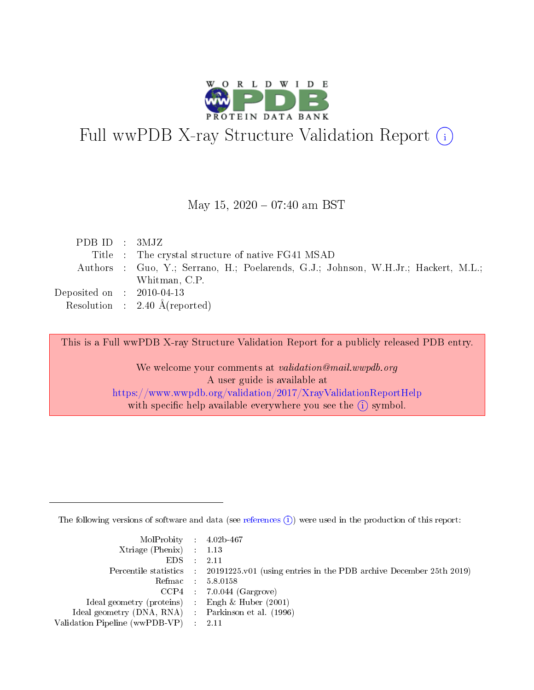

# Full wwPDB X-ray Structure Validation Report (i)

### May 15,  $2020 - 07:40$  am BST

| PDB ID : $3MJZ$                      |                                                                                    |
|--------------------------------------|------------------------------------------------------------------------------------|
|                                      | Title : The crystal structure of native FG41 MSAD                                  |
|                                      | Authors : Guo, Y.; Serrano, H.; Poelarends, G.J.; Johnson, W.H.Jr.; Hackert, M.L.; |
|                                      | Whitman, C.P.                                                                      |
| Deposited on $\therefore$ 2010-04-13 |                                                                                    |
|                                      | Resolution : $2.40 \text{ Å}$ (reported)                                           |

This is a Full wwPDB X-ray Structure Validation Report for a publicly released PDB entry.

We welcome your comments at validation@mail.wwpdb.org A user guide is available at <https://www.wwpdb.org/validation/2017/XrayValidationReportHelp> with specific help available everywhere you see the  $(i)$  symbol.

The following versions of software and data (see [references](https://www.wwpdb.org/validation/2017/XrayValidationReportHelp#references)  $(i)$ ) were used in the production of this report:

| $MolProbability$ 4.02b-467                          |                                                                                            |
|-----------------------------------------------------|--------------------------------------------------------------------------------------------|
| Xtriage (Phenix) $: 1.13$                           |                                                                                            |
| $EDS$ :                                             | -2.11                                                                                      |
|                                                     | Percentile statistics : 20191225.v01 (using entries in the PDB archive December 25th 2019) |
|                                                     | Refmac : 5.8.0158                                                                          |
|                                                     | $CCP4$ : 7.0.044 (Gargrove)                                                                |
| Ideal geometry (proteins) : Engh $\&$ Huber (2001)  |                                                                                            |
| Ideal geometry (DNA, RNA) : Parkinson et al. (1996) |                                                                                            |
| Validation Pipeline (wwPDB-VP)                      | -2.11                                                                                      |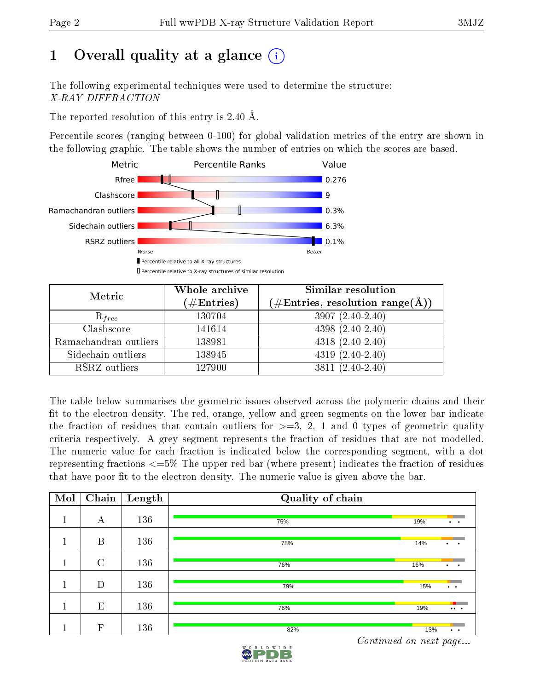# 1 [O](https://www.wwpdb.org/validation/2017/XrayValidationReportHelp#overall_quality)verall quality at a glance  $(i)$

The following experimental techniques were used to determine the structure: X-RAY DIFFRACTION

The reported resolution of this entry is 2.40 Å.

Percentile scores (ranging between 0-100) for global validation metrics of the entry are shown in the following graphic. The table shows the number of entries on which the scores are based.



| Metric                | Whole archive<br>$(\#\text{Entries})$ | Similar resolution<br>$(\#\text{Entries},\,\text{resolution}\,\,\text{range}(\textup{\AA}))$ |
|-----------------------|---------------------------------------|----------------------------------------------------------------------------------------------|
| $R_{free}$            | 130704                                | $3907(2.40-2.40)$                                                                            |
| Clashscore            | 141614                                | $4398(2.40-2.40)$                                                                            |
| Ramachandran outliers | 138981                                | $4318 (2.40 - 2.40)$                                                                         |
| Sidechain outliers    | 138945                                | $4319(2.40-2.40)$                                                                            |
| RSRZ outliers         | 127900                                | $3811 (2.40 - 2.40)$                                                                         |

The table below summarises the geometric issues observed across the polymeric chains and their fit to the electron density. The red, orange, yellow and green segments on the lower bar indicate the fraction of residues that contain outliers for  $>=3, 2, 1$  and 0 types of geometric quality criteria respectively. A grey segment represents the fraction of residues that are not modelled. The numeric value for each fraction is indicated below the corresponding segment, with a dot representing fractions  $\epsilon=5\%$  The upper red bar (where present) indicates the fraction of residues that have poor fit to the electron density. The numeric value is given above the bar.

| Mol | Chain          | Length | Quality of chain |     |                        |
|-----|----------------|--------|------------------|-----|------------------------|
|     | А              | 136    | 75%              | 19% | $\bullet\qquad\bullet$ |
|     | B              | 136    | 78%              | 14% | $\bullet$<br>$\bullet$ |
|     | $\overline{C}$ | 136    | 76%              | 16% | $\bullet$<br>$\bullet$ |
|     | D              | 136    | 79%              | 15% | $\bullet$ . $\bullet$  |
|     | E              | 136    | 76%              | 19% | $\cdots$               |
|     | $\overline{F}$ | 136    | 82%              | 13% | $\cdot$ $\cdot$        |

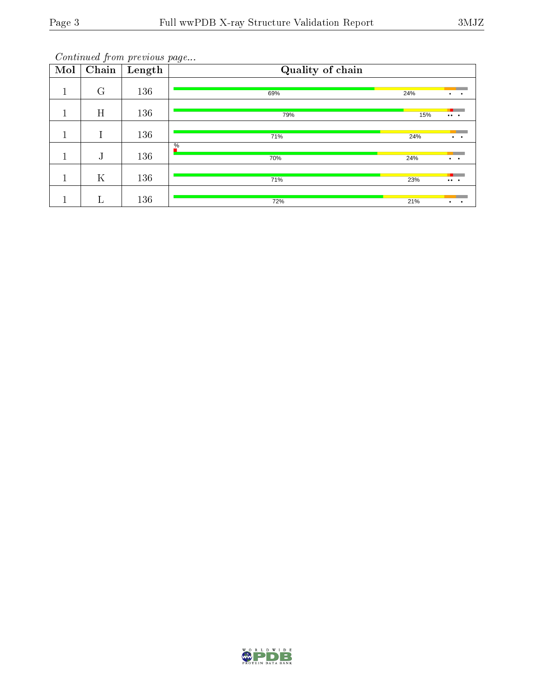| $\overline{\text{Mol}}$ | $\overline{\text{Chain}}$ | Length | Quality of chain            |                              |
|-------------------------|---------------------------|--------|-----------------------------|------------------------------|
| 1                       | $\rm G$                   | 136    | 24%<br>69%                  |                              |
|                         | H                         | 136    | 79%                         | 15%<br>$\cdots$              |
| п                       | I                         | 136    | 71%<br>24%                  | $\bullet\qquad\bullet$       |
|                         | ${\bf J}$                 | 136    | $\frac{0}{6}$<br>24%<br>70% | $\cdot$ $\cdot$              |
|                         | $\rm K$                   | 136    | 71%<br>23%                  | $\bullet\bullet\quad\bullet$ |
|                         | $\Gamma$                  | 136    | 21%<br>72%                  | ۰<br>$\bullet$               |

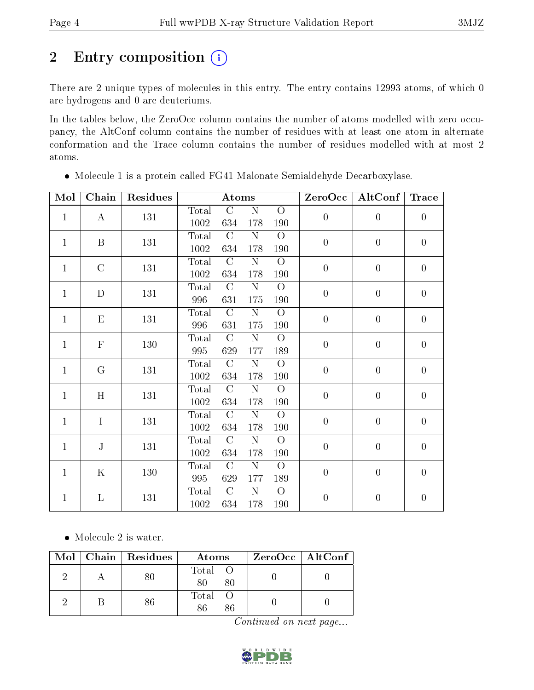# 2 Entry composition (i)

There are 2 unique types of molecules in this entry. The entry contains 12993 atoms, of which 0 are hydrogens and 0 are deuteriums.

In the tables below, the ZeroOcc column contains the number of atoms modelled with zero occupancy, the AltConf column contains the number of residues with at least one atom in alternate conformation and the Trace column contains the number of residues modelled with at most 2 atoms.

| Mol          | Chain                     | Residues     |       | Atoms         |                    |                | ZeroOcc          | AltConf          | <b>Trace</b>     |                |  |
|--------------|---------------------------|--------------|-------|---------------|--------------------|----------------|------------------|------------------|------------------|----------------|--|
| $\mathbf{1}$ | $\bf{A}$                  | 131          | Total | $\mathcal{C}$ | $\overline{\rm N}$ | $\overline{O}$ | $\overline{0}$   | $\overline{0}$   | $\overline{0}$   |                |  |
|              |                           |              | 1002  | 634           | 178                | 190            |                  |                  |                  |                |  |
| $\mathbf{1}$ | $\mathbf{B}$              | 131          | Total | $\mathcal{C}$ | N                  | $\overline{O}$ | $\boldsymbol{0}$ | $\overline{0}$   | $\overline{0}$   |                |  |
|              |                           |              | 1002  | 634           | 178                | 190            |                  |                  |                  |                |  |
| $\mathbf{1}$ | $\mathcal{C}$             | 131          | Total | $\mathcal{C}$ | $\mathbf N$        | $\overline{O}$ | $\overline{0}$   | $\overline{0}$   | $\overline{0}$   |                |  |
|              |                           |              | 1002  | 634           | 178                | 190            |                  |                  |                  |                |  |
| $\mathbf{1}$ | D                         | 131          | Total | $\mathcal{C}$ | $\mathbf N$        | $\overline{O}$ | $\overline{0}$   | $\overline{0}$   | $\overline{0}$   |                |  |
|              |                           |              | 996   | 631           | 175                | 190            |                  |                  |                  |                |  |
| $\mathbf{1}$ | $\boldsymbol{\mathrm{E}}$ | 131          | Total | $\mathcal{C}$ | $\mathbf N$        | $\overline{O}$ | $\boldsymbol{0}$ | $\overline{0}$   | $\overline{0}$   |                |  |
|              |                           |              | 996   | 631           | 175                | 190            |                  |                  |                  |                |  |
| $\mathbf{1}$ | $\mathbf F$               | 130          | Total | $\mathcal{C}$ | ${\rm N}$          | $\overline{O}$ | $\overline{0}$   | $\overline{0}$   | $\overline{0}$   |                |  |
|              |                           |              | 995   | 629           | 177                | 189            |                  |                  |                  |                |  |
| $\mathbf{1}$ |                           | $\mathcal G$ | 131   | Total         | $\mathcal{C}$      | $\mathbf N$    | $\overline{O}$   | $\boldsymbol{0}$ | $\boldsymbol{0}$ | $\overline{0}$ |  |
|              |                           |              | 1002  | 634           | 178                | 190            |                  |                  |                  |                |  |
| $\mathbf{1}$ | H                         | 131          | Total | $\mathcal{C}$ | N                  | $\overline{O}$ | $\overline{0}$   | $\overline{0}$   | $\overline{0}$   |                |  |
|              |                           |              | 1002  | 634           | 178                | 190            |                  |                  |                  |                |  |
| $\mathbf{1}$ | $\overline{I}$            | 131          | Total | $\mathcal{C}$ | ${\bf N}$          | $\overline{O}$ | $\overline{0}$   | $\overline{0}$   | $\overline{0}$   |                |  |
|              |                           |              |       |               | 1002               | 634            | 178              | 190              |                  |                |  |
| $\mathbf{1}$ | ${\bf J}$                 | 131          | Total | $\mathcal{C}$ | $\mathbf N$        | $\overline{O}$ | $\overline{0}$   | $\overline{0}$   | $\overline{0}$   |                |  |
|              |                           |              | 1002  | 634           | 178                | 190            |                  |                  |                  |                |  |
| $\mathbf{1}$ | $\mathbf K$               | 130          | Total | $\mathcal{C}$ | ${\bf N}$          | $\overline{O}$ | $\overline{0}$   | $\overline{0}$   | $\overline{0}$   |                |  |
|              |                           |              | 995   | 629           | 177                | 189            |                  |                  |                  |                |  |
| $\mathbf{1}$ | $\rm L$                   | 131          | Total | $\mathcal{C}$ | ${\rm N}$          | $\overline{O}$ | $\boldsymbol{0}$ | $\boldsymbol{0}$ | $\overline{0}$   |                |  |
|              |                           |              | 1002  | 634           | 178                | 190            |                  |                  |                  |                |  |

Molecule 1 is a protein called FG41 Malonate Semialdehyde Decarboxylase.

• Molecule 2 is water.

|  | $Mol$   Chain   Residues | Atoms         | $ZeroOcc$   AltConf |
|--|--------------------------|---------------|---------------------|
|  |                          | Total O<br>80 |                     |
|  | 86                       | Total O       |                     |

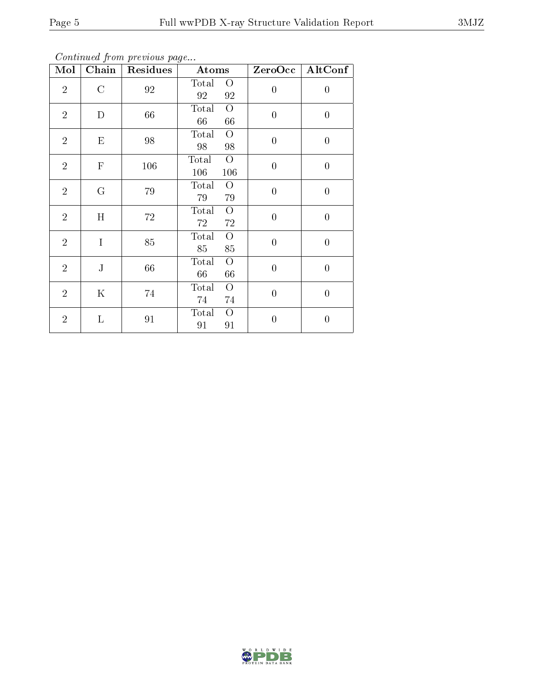Continued from previous page...

| $\overline{\text{Mol}}$ | Chain         | <b>Residues</b> | $\boldsymbol{\mathrm{Atoms}}$           |                  | $ZeroOcc \   \$ AltConf |
|-------------------------|---------------|-----------------|-----------------------------------------|------------------|-------------------------|
| $\overline{2}$          | $\mathcal{C}$ | 92              | Total O<br>92 92                        | $\overline{0}$   | $\boldsymbol{0}$        |
| $\overline{2}$          | D             | 66              | Total<br>$\overline{O}$<br>66<br>66     | $\overline{0}$   | $\overline{0}$          |
| $\overline{2}$          | $\mathbf E$   | 98              | $\overline{O}$<br>Total<br>98<br>98     | $\overline{0}$   | $\overline{0}$          |
| $\overline{2}$          | $\mathbf F$   | 106             | $\overline{O}$<br>Total<br>106<br>106   | $\overline{0}$   | $\overline{0}$          |
| $\overline{2}$          | G             | 79              | Total<br>$\overline{O}$<br>79<br>79     | $\overline{0}$   | $\overline{0}$          |
| $\overline{2}$          | H             | 72              | $\overline{O}$<br>Total<br>$72\,$<br>72 | $\overline{0}$   | $\overline{0}$          |
| $\overline{2}$          | $\mathbf I$   | 85              | $\bigcirc$<br>Total<br>$85\,$<br>85     | $\overline{0}$   | $\overline{0}$          |
| $\overline{2}$          | ${\bf J}$     | 66              | Total<br>$\overline{O}$<br>66<br>66     | $\overline{0}$   | $\overline{0}$          |
| $\overline{2}$          | $\mathbf K$   | 74              | Total<br>$\overline{O}$<br>74<br>$74\,$ | $\boldsymbol{0}$ | $\overline{0}$          |
| $\overline{2}$          | L             | 91              | Total<br>$\overline{O}$<br>91<br>91     | $\overline{0}$   | $\boldsymbol{0}$        |

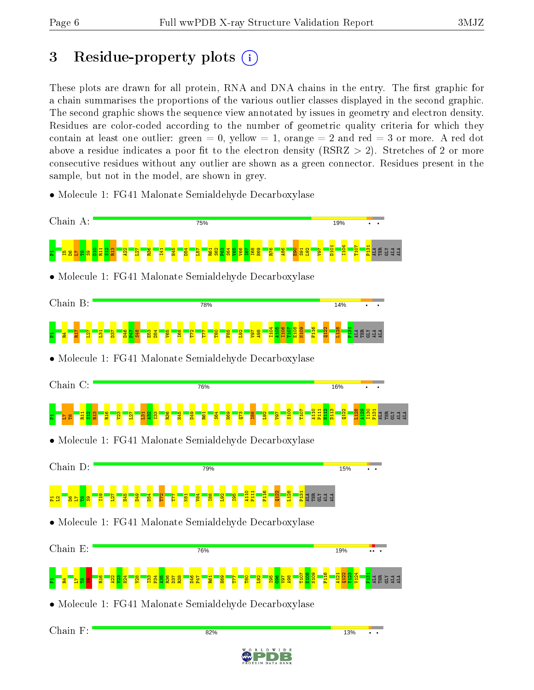# 3 Residue-property plots  $(i)$

These plots are drawn for all protein, RNA and DNA chains in the entry. The first graphic for a chain summarises the proportions of the various outlier classes displayed in the second graphic. The second graphic shows the sequence view annotated by issues in geometry and electron density. Residues are color-coded according to the number of geometric quality criteria for which they contain at least one outlier: green  $= 0$ , yellow  $= 1$ , orange  $= 2$  and red  $= 3$  or more. A red dot above a residue indicates a poor fit to the electron density ( $\text{RSRZ} > 2$ ). Stretches of 2 or more consecutive residues without any outlier are shown as a green connector. Residues present in the sample, but not in the model, are shown in grey.

• Molecule 1: FG41 Malonate Semialdehyde Decarboxylase

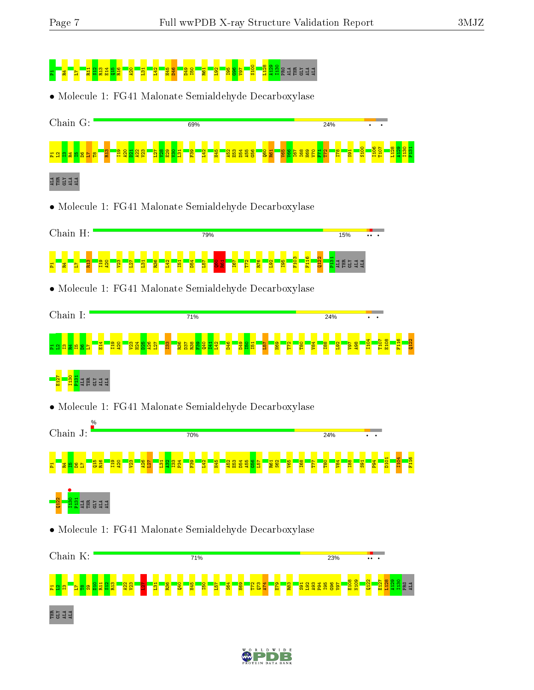

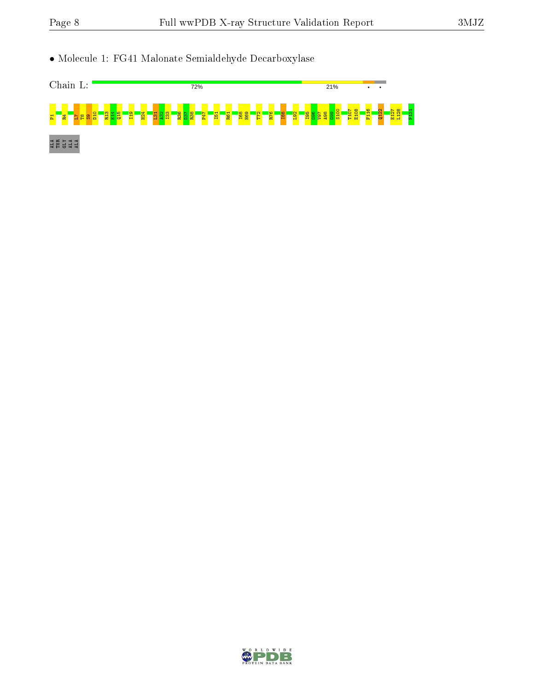• Molecule 1: FG41 Malonate Semialdehyde Decarboxylase



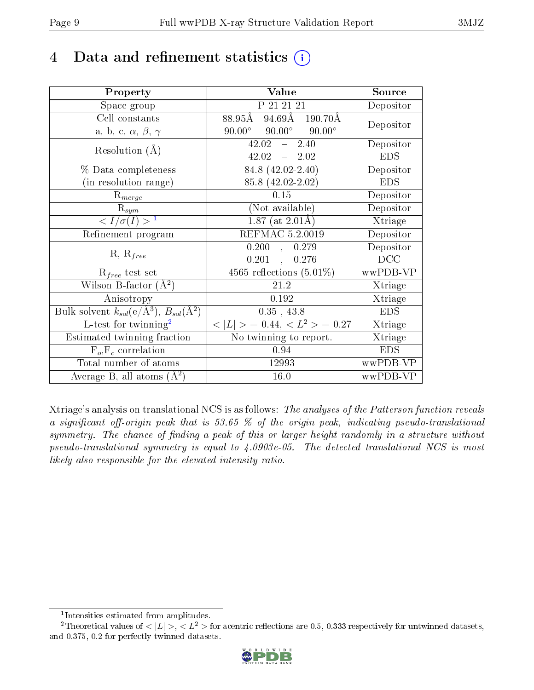# 4 Data and refinement statistics  $(i)$

| Property                                                         | Value                                            | Source     |
|------------------------------------------------------------------|--------------------------------------------------|------------|
| Space group                                                      | P 21 21 21                                       | Depositor  |
| Cell constants                                                   | $88.95\text{\AA}$ 94.69Å 190.70Å                 | Depositor  |
| a, b, c, $\alpha$ , $\beta$ , $\gamma$                           | $90.00^{\circ}$ $90.00^{\circ}$<br>$90.00^\circ$ |            |
| Resolution $(A)$                                                 | $-2.40$<br>42.02                                 | Depositor  |
|                                                                  | $42.02 - 2.02$                                   | <b>EDS</b> |
| $\%$ Data completeness                                           | 84.8 (42.02-2.40)                                | Depositor  |
| (in resolution range)                                            | 85.8 (42.02-2.02)                                | <b>EDS</b> |
| $R_{merge}$                                                      | 0.15                                             | Depositor  |
| $\mathrm{R}_{sym}$                                               | (Not available)                                  | Depositor  |
| $\langle I/\sigma(I) \rangle^{-1}$                               | $1.87$ (at $2.01\text{\AA})$                     | Xtriage    |
| Refinement program                                               | <b>REFMAC 5.2.0019</b>                           | Depositor  |
|                                                                  | 0.200<br>0.279<br>$\mathbf{A}$                   | Depositor  |
| $R, R_{free}$                                                    | 0.201<br>0.276<br>$\mathcal{L}$                  | DCC        |
| $R_{free}$ test set                                              | 4565 reflections $(5.01\%)$                      | wwPDB-VP   |
| Wilson B-factor $(A^2)$                                          | 21.2                                             | Xtriage    |
| Anisotropy                                                       | 0.192                                            | Xtriage    |
| Bulk solvent $k_{sol}(\text{e}/\text{A}^3), B_{sol}(\text{A}^2)$ | $0.35$ , 43.8                                    | <b>EDS</b> |
| L-test for $\mathrm{twinning}^2$                                 | $< L >$ = 0.44, $< L2 >$ = 0.27                  | Xtriage    |
| Estimated twinning fraction                                      | No twinning to report.                           | Xtriage    |
| $\overline{F_o}, \overline{F_c}$ correlation                     | 0.94                                             | <b>EDS</b> |
| Total number of atoms                                            | 12993                                            | wwPDB-VP   |
| Average B, all atoms $(A^2)$                                     | 16.0                                             | wwPDB-VP   |

Xtriage's analysis on translational NCS is as follows: The analyses of the Patterson function reveals a significant off-origin peak that is 53.65  $\%$  of the origin peak, indicating pseudo-translational symmetry. The chance of finding a peak of this or larger height randomly in a structure without pseudo-translational symmetry is equal to 4.0903e-05. The detected translational NCS is most likely also responsible for the elevated intensity ratio.

<sup>&</sup>lt;sup>2</sup>Theoretical values of  $\langle |L| \rangle$ ,  $\langle L^2 \rangle$  for acentric reflections are 0.5, 0.333 respectively for untwinned datasets, and 0.375, 0.2 for perfectly twinned datasets.



<span id="page-8-1"></span><span id="page-8-0"></span><sup>1</sup> Intensities estimated from amplitudes.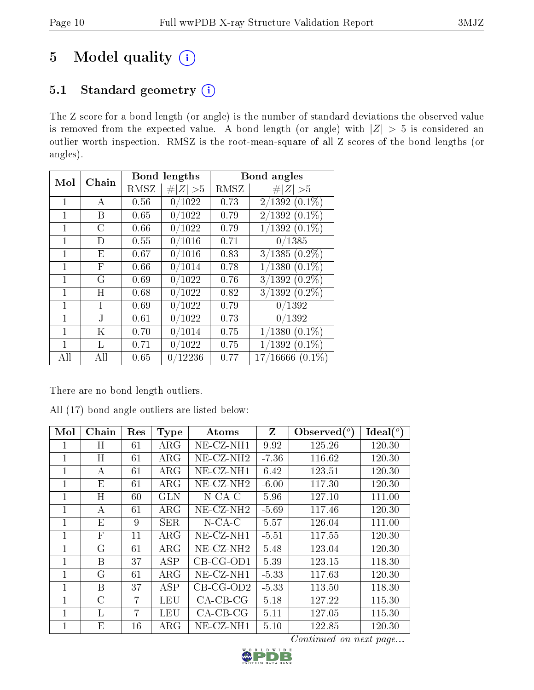# 5 Model quality  $(i)$

# 5.1 Standard geometry (i)

The Z score for a bond length (or angle) is the number of standard deviations the observed value is removed from the expected value. A bond length (or angle) with  $|Z| > 5$  is considered an outlier worth inspection. RMSZ is the root-mean-square of all Z scores of the bond lengths (or angles).

| Mol          | Chain   |      | Bond lengths | Bond angles |                      |  |
|--------------|---------|------|--------------|-------------|----------------------|--|
|              |         | RMSZ | # $ Z  > 5$  | RMSZ        | # $ Z  > 5$          |  |
| $\mathbf{1}$ | A       | 0.56 | 0/1022       | 0.73        | $2/1392(0.1\%)$      |  |
|              | B       | 0.65 | 0/1022       | 0.79        | $2/1392(0.1\%)$      |  |
| $\mathbf{1}$ | С       | 0.66 | 0/1022       | 0.79        | $1/1392(0.1\%)$      |  |
|              | $\Box$  | 0.55 | 0/1016       | 0.71        | 0/1385               |  |
| $\mathbf{1}$ | Ε       | 0.67 | 0/1016       | 0.83        | $3/1385(0.2\%)$      |  |
|              | F       | 0.66 | 0/1014       | 0.78        | $1/1380(0.1\%)$      |  |
| $\mathbf{1}$ | G       | 0.69 | 0/1022       | 0.76        | $3/1392(0.2\%)$      |  |
| 1            | H       | 0.68 | 0/1022       | 0.82        | $3/1392(0.2\%)$      |  |
| $\mathbf{1}$ | T       | 0.69 | 0/1022       | 0.79        | 0/1392               |  |
| 1            | J       | 0.61 | 0/1022       | 0.73        | 0/1392               |  |
| $\mathbf{1}$ | $\rm K$ | 0.70 | 0/1014       | 0.75        | $(1380)(0.1\%)$      |  |
| 1            | L       | 0.71 | 0/1022       | 0.75        | $(1392 (0.1\%)$      |  |
| All          | All     | 0.65 | 0/12236      | 0.77        | $17/16666$ $(0.1\%)$ |  |

There are no bond length outliers.

All (17) bond angle outliers are listed below:

| Mol          | Chain          | Res            | <b>Type</b> | Atoms                    | Z       | Observed $(^\circ)$ | Ideal $(^\circ)$ |
|--------------|----------------|----------------|-------------|--------------------------|---------|---------------------|------------------|
| 1            | Η              | 61             | $\rm{ARG}$  | NE-CZ-NH1                | 9.92    | 125.26              | 120.30           |
| 1            | H              | 61             | $\rm{ARG}$  | $NE$ -CZ-NH <sub>2</sub> | $-7.36$ | 116.62              | 120.30           |
| 1            | А              | 61             | $\rm{ARG}$  | NE-CZ-NH1                | 6.42    | 123.51              | 120.30           |
| 1            | E              | 61             | $\rm{ARG}$  | $NE- CZ-NH2$             | $-6.00$ | 117.30              | 120.30           |
| 1            | Η              | 60             | <b>GLN</b>  | $N$ -CA-C                | 5.96    | 127.10              | 111.00           |
| $\mathbf{1}$ | А              | 61             | $\rm{ARG}$  | NE-CZ-NH2                | $-5.69$ | 117.46              | 120.30           |
| 1            | E              | 9              | <b>SER</b>  | $N$ -CA-C                | 5.57    | 126.04              | 111.00           |
| 1            | $\overline{F}$ | 11             | ${\rm ARG}$ | NE-CZ-NH1                | $-5.51$ | 117.55              | 120.30           |
| $\mathbf{1}$ | G              | 61             | $\rm{ARG}$  | $NE$ -CZ-NH <sub>2</sub> | 5.48    | 123.04              | 120.30           |
| $\mathbf{1}$ | В              | 37             | ASP         | $CB-CG-OD1$              | 5.39    | 123.15              | 118.30           |
| $\mathbf{1}$ | G              | 61             | $\rm{ARG}$  | NE-CZ-NH1                | $-5.33$ | 117.63              | 120.30           |
| 1            | B              | 37             | ASP         | $CB-CG-OD2$              | $-5.33$ | 113.50              | 118.30           |
| 1            | $\overline{C}$ | $\overline{7}$ | LEU         | $CA-CB-CG$               | 5.18    | 127.22              | 115.30           |
| $\mathbf{1}$ | L              | $\overline{7}$ | LEU         | $CA$ -CB-CG              | 5.11    | 127.05              | 115.30           |
| 1            | Ε              | 16             | $\rm{ARG}$  | $NE$ -CZ-NH1             | 5.10    | 122.85              | 120.30           |

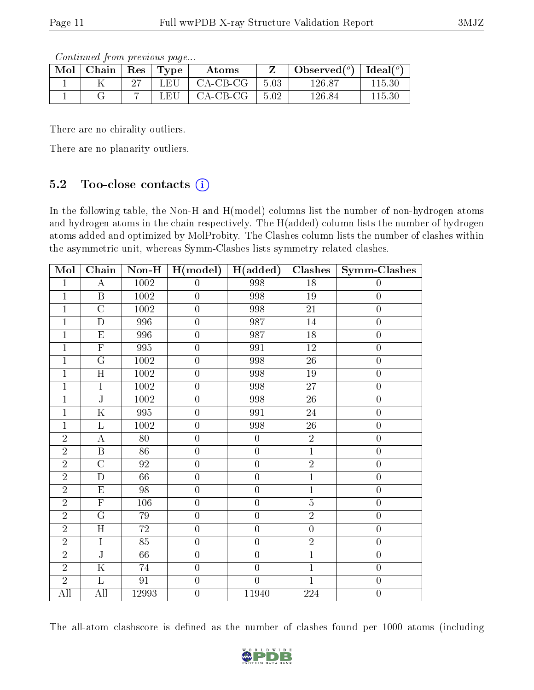Continued from previous page...

| Mol | Chain | $\operatorname{Res}$ | Type | Atoms      |      | Observed $(°)$ | Ideal $(°)$ |
|-----|-------|----------------------|------|------------|------|----------------|-------------|
|     |       | ∩母                   | 1.EU | $CA-CB-CG$ | 5.03 | 126.87         | $115.30\,$  |
|     |       |                      | JEU. | $CA-CB-CG$ | 5.02 | 126.84         | $115.30\,$  |

There are no chirality outliers.

There are no planarity outliers.

### 5.2 Too-close contacts  $(i)$

In the following table, the Non-H and H(model) columns list the number of non-hydrogen atoms and hydrogen atoms in the chain respectively. The H(added) column lists the number of hydrogen atoms added and optimized by MolProbity. The Clashes column lists the number of clashes within the asymmetric unit, whereas Symm-Clashes lists symmetry related clashes.

| Mol            | Chain                            | $\bf Non-H$       | H (model)        | $H(\text{added})$ | Clashes         | Symm-Clashes     |
|----------------|----------------------------------|-------------------|------------------|-------------------|-----------------|------------------|
| $\mathbf{1}$   | $\bf{A}$                         | $1002\,$          | $\boldsymbol{0}$ | 998               | $18\,$          | $\boldsymbol{0}$ |
| $\overline{1}$ | $\, {\bf B}$                     | 1002              | $\boldsymbol{0}$ | 998               | 19              | $\boldsymbol{0}$ |
| $\overline{1}$ | $\overline{C}$                   | 1002              | $\overline{0}$   | 998               | 21              | $\boldsymbol{0}$ |
| $\mathbf{1}$   | D                                | 996               | $\boldsymbol{0}$ | 987               | $14\,$          | $\boldsymbol{0}$ |
| $\mathbf{1}$   | $\overline{\mathrm{E}}$          | 996               | $\overline{0}$   | 987               | 18              | $\overline{0}$   |
| $\mathbf{1}$   | $\overline{F}$                   | 995               | $\overline{0}$   | 991               | 12              | $\boldsymbol{0}$ |
| $\mathbf{1}$   | $\overline{\mathrm{G}}$          | $1002\,$          | $\boldsymbol{0}$ | 998               | 26              | $\boldsymbol{0}$ |
| $\overline{1}$ | $\overline{H}$                   | 1002              | $\boldsymbol{0}$ | 998               | 19              | $\overline{0}$   |
| $\mathbf{1}$   | $\mathbf I$                      | 1002              | $\boldsymbol{0}$ | 998               | 27              | $\boldsymbol{0}$ |
| $\mathbf{1}$   | $\overline{\text{J}}$            | 1002              | $\overline{0}$   | 998               | 26              | $\boldsymbol{0}$ |
| $\mathbf{1}$   | $\overline{\mathrm{K}}$          | 995               | $\overline{0}$   | 991               | 24              | $\boldsymbol{0}$ |
| $\overline{1}$ | $\overline{\mathrm{L}}$          | $\overline{1002}$ | $\overline{0}$   | 998               | $\overline{26}$ | $\overline{0}$   |
| $\overline{2}$ | $\boldsymbol{A}$                 | 80                | $\boldsymbol{0}$ | $\boldsymbol{0}$  | $\overline{2}$  | $\boldsymbol{0}$ |
| $\overline{2}$ | $\, {\bf B}$                     | 86                | $\boldsymbol{0}$ | $\boldsymbol{0}$  | $\overline{1}$  | $\boldsymbol{0}$ |
| $\overline{2}$ | $\overline{C}$                   | 92                | $\boldsymbol{0}$ | $\overline{0}$    | $\overline{2}$  | $\boldsymbol{0}$ |
| $\overline{2}$ | $\overline{D}$                   | 66                | $\boldsymbol{0}$ | $\overline{0}$    | $\overline{1}$  | $\boldsymbol{0}$ |
| $\overline{2}$ | $\overline{\mathrm{E}}$          | $\overline{98}$   | $\overline{0}$   | $\overline{0}$    | $\overline{1}$  | $\overline{0}$   |
| $\overline{2}$ | $\overline{\mathrm{F}}$          | 106               | $\overline{0}$   | $\overline{0}$    | $\overline{5}$  | $\boldsymbol{0}$ |
| $\overline{2}$ | $\overline{\mathrm{G}}$          | 79                | $\overline{0}$   | $\overline{0}$    | $\overline{2}$  | $\overline{0}$   |
| $\overline{2}$ | $\overline{H}$                   | $\overline{72}$   | $\boldsymbol{0}$ | $\boldsymbol{0}$  | $\overline{0}$  | $\boldsymbol{0}$ |
| $\overline{2}$ | $\rm I$                          | 85                | $\overline{0}$   | $\boldsymbol{0}$  | $\sqrt{2}$      | $\boldsymbol{0}$ |
| $\overline{2}$ | $\overline{\text{J}}$            | 66                | $\overline{0}$   | $\overline{0}$    | $\overline{1}$  | $\boldsymbol{0}$ |
| $\overline{2}$ | $\overline{\mathrm{K}}$          | 74                | $\overline{0}$   | $\boldsymbol{0}$  | $\mathbf{1}$    | $\boldsymbol{0}$ |
| $\overline{2}$ | $\overline{\mathrm{L}}$          | $\overline{91}$   | $\overline{0}$   | $\overline{0}$    | $\overline{1}$  | $\overline{0}$   |
| All            | $\mathop{\mathrm{All}}\nolimits$ | 12993             | $\boldsymbol{0}$ | 11940             | 224             | $\overline{0}$   |

The all-atom clashscore is defined as the number of clashes found per 1000 atoms (including

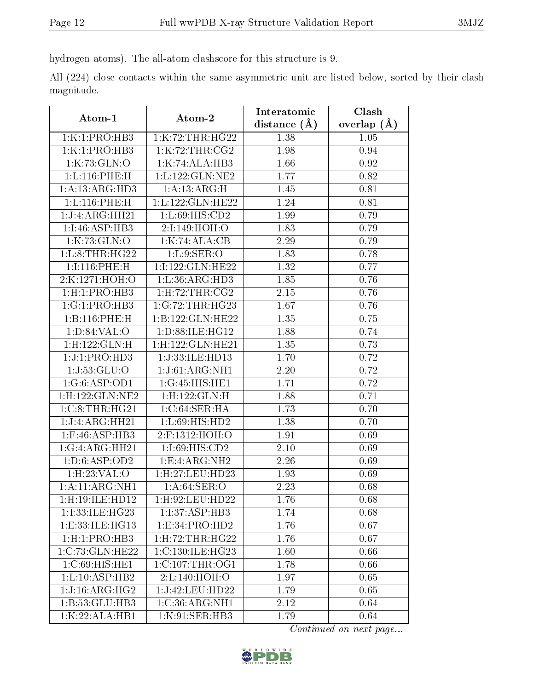hydrogen atoms). The all-atom clashscore for this structure is 9.

All (224) close contacts within the same asymmetric unit are listed below, sorted by their clash magnitude.

| Atom-1                      | Atom-2                        | Interatomic    | Clash         |
|-----------------------------|-------------------------------|----------------|---------------|
|                             |                               | distance $(A)$ | overlap $(A)$ |
| 1:K:1:PRO:HB3               | 1:K:72:THR:HG22               | 1.38           | 1.05          |
| 1:K:1:PRO:HB3               | 1:K:72:THR:CG2                | 1.98           | 0.94          |
| 1:K:73:GLN:O                | 1:K:74:ALA:HB3                | 1.66           | 0.92          |
| 1:L:116:PHE:H               | 1:L:122:GLN:NE2               | 1.77           | 0.82          |
| 1:A:13:ARG:HD3              | 1:A:13:ARG:H                  | 1.45           | 0.81          |
| 1: L: 116: PHE: H           | 1:L:122:GLN:HE22              | 1.24           | 0.81          |
| 1:J:4:ARG:HH21              | 1:L:69:HIS:CD2                | 1.99           | 0.79          |
| 1:I:46:ASP:HB3              | 2:I:149:HOH:O                 | 1.83           | 0.79          |
| 1:K:73:GLN:O                | 1:K:74:ALA:CB                 | 2.29           | 0.79          |
| 1: L: 8: THR: HG22          | 1: L:9: SER:O                 | 1.83           | 0.78          |
| 1:1:116:PHE:H               | 1:I:122:GLN:HE22              | 1.32           | 0.77          |
| 2:K:1271:HOH:O              | 1: L: 36: ARG: HD3            | 1.85           | 0.76          |
| 1: H:1: PRO:HB3             | 1: H: 72: THR: CG2            | 2.15           | 0.76          |
| $1: G: 1: PRO: HB3$         | 1:G:72:THR:HG23               | 1.67           | 0.76          |
| 1:B:116:PHE:H               | 1:B:122:GLN:HE22              | 1.35           | 0.75          |
| 1: D:84:VAL:O               | 1:D:88:ILE:HG12               | 1.88           | 0.74          |
| $1:$ H $:122:$ GLN $:$ H    | 1: H: 122: GLN: HE21          | 1.35           | 0.73          |
| 1:J:1:PRO:HD3               | 1:J:33:ILE:HD13               | 1.70           | 0.72          |
| 1:J:53:GLU:O                | 1:J:61:ARG:NH1                | 2.20           | 0.72          |
| 1:G:6:ASP:OD1               | 1:G:45:HIS:HE1                | 1.71           | 0.72          |
| 1:H:122:GLN:NE2             | $1:$ H:122:GLN:H              | 1.88           | 0.71          |
| 1:C:8:THR:HG21              | 1:C:64:SER:HA                 | 1.73           | 0.70          |
| 1:J:4:ARG:HH21              | 1:L:69:HIS:HD2                | 1.38           | 0.70          |
| $1:$ F:46:ASP:HB3           | 2:F:1312:HOH:O                | 1.91           | 0.69          |
| 1:G:4:ARG:HH21              | 1:I:69:HIS:CD2                | 2.10           | 0.69          |
| 1: D:6: ASP:OD2             | 1: E: 4: ARG: NH2             | 2.26           | 0.69          |
| 1:H:23:VAL:O                | $1:$ H $:27:$ LEU $:$ HD $23$ | 1.93           | 0.69          |
| 1: A:11: ARG:NH1            | 1: A:64:SER:O                 | 2.23           | 0.68          |
| 1:H:19:ILE:HD12             | 1:H:92:LEU:HD22               | 1.76           | 0.68          |
| 1:I:33:ILE:HG23             | 1:I:37:ASP:HB3                | 1.74           | 0.68          |
| 1: E: 33: ILE: HG13         | 1:E:34:PRO:HD2                | 1.76           | 0.67          |
| 1: H:1: PRO:HB3             | $1:$ H $:72:$ THR $:$ H $G22$ | 1.76           | 0.67          |
| 1:C:73:GLN:HE22             | 1:C:130:ILE:HG23              | 1.60           | 0.66          |
| $1:C:69:HIS:\overline{HE1}$ | $1:C:107$ : THR: OG1          | 1.78           | 0.66          |
| 1:L:10:ASP:HB2              | 2:L:140:HOH:O                 | 1.97           | 0.65          |
| $1:J:16:ARG:\overline{HG2}$ | 1:J:42:LEU:HD22               | 1.79           | 0.65          |
| 1:B:53:GLU:HB3              | 1:C:36:ARG:NH1                | 2.12           | 0.64          |
| 1:K:22:ALA:HBI              | 1:K:91:SER:HB3                | 1.79           | 0.64          |

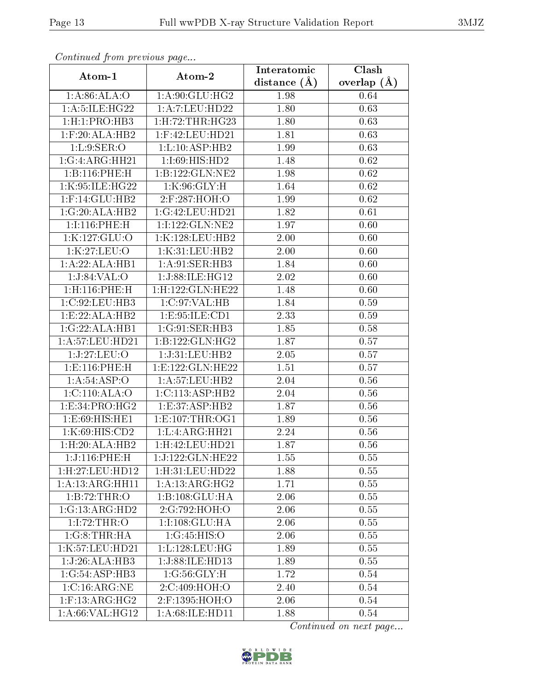| Continuea from previous page |                               | Interatomic    | Clash         |  |
|------------------------------|-------------------------------|----------------|---------------|--|
| Atom-1                       | Atom-2                        | distance $(A)$ | overlap $(A)$ |  |
| 1: A:86: ALA:O               | 1: A:90: GLU: HG2             | 1.98           | 0.64          |  |
| 1:A:5:ILE:HG22               | 1:A:7:LEU:HD22                | 1.80           | 0.63          |  |
| 1: H: 1: PRO: HB3            | $1:$ H $:72:$ THR $:$ H $G23$ | 1.80           | 0.63          |  |
| $1:$ $F:20:$ $ALA:$ $HB2$    | 1:F:42:LEU:HD21               | 1.81           | 0.63          |  |
| 1: L:9: SER:O                | 1: L: 10: ASP: HB2            | 1.99           | 0.63          |  |
| 1:G:4:ARG:HH21               | 1:I:69:HIS:HD2                | 1.48           | 0.62          |  |
| 1:B:116:PHE:H                | 1:B:122:GLN:NE2               | 1.98           | 0.62          |  |
| 1:K:95:ILE:HG22              | 1:K:96:GLY:H                  | 1.64           | 0.62          |  |
| 1:F:14:GLU:HB2               | 2:F:287:HOH:O                 | 1.99           | 0.62          |  |
| 1:G:20:ALA:HB2               | 1:G:42:LEU:HD21               | 1.82           | 0.61          |  |
| 1:1:116:PHE:H                | 1:1:122:GLN:NE2               | 1.97           | 0.60          |  |
| 1:K:127:GLU:O                | 1:K:128:LEU:HB2               | 2.00           | 0.60          |  |
| 1:K:27:LEU:O                 | 1:K:31:LEU:HB2                | 2.00           | 0.60          |  |
| 1:A:22:ALA:HB1               | 1:A:91:SER:HB3                | 1.84           | 0.60          |  |
| 1:J:84:VAL:O                 | 1:J:88:ILE:HG12               | 2.02           | 0.60          |  |
| $1:$ H $:116:$ PHE $:$ H     | 1:H:122:GLN:HE22              | 1.48           | 0.60          |  |
| 1:C:92:LEU:HB3               | 1:C:97:VAL:HB                 | 1.84           | 0.59          |  |
| 1:E:22:ALA:HB2               | 1: E: 95: ILE: CD1            | 2.33           | 0.59          |  |
| 1:G:22:ALA:HB1               | 1:G:91:SER:HB3                | 1.85           | 0.58          |  |
| 1: A:57:LEU:HD21             | 1:B:122:GLN:HG2               | 1.87           | 0.57          |  |
| 1:J:27:LEU:O                 | 1:J:31:LEU:HB2                | 2.05           | 0.57          |  |
| 1: E: 116: PHE: H            | 1:E:122:GLN:HE22              | 1.51           | 0.57          |  |
| 1: A:54:ASP:O                | 1: A:57:LEU:HB2               | 2.04           | 0.56          |  |
| 1:C:110:ALA:O                | 1:C:113:ASP:HB2               | 2.04           | 0.56          |  |
| 1:E:34:PRO:HG2               | 1:E:37:ASP:HB2                | 1.87           | 0.56          |  |
| 1:E:69:HIS:HE1               | 1: E: 107: THR: OG1           | 1.89           | 0.56          |  |
| 1:K:69:HIS:CD2               | 1: L: 4: ARG: HH21            | 2.24           | 0.56          |  |
| 1: H:20: ALA:HB2             | 1:H:42:LEU:HD21               | 1.87           | 0.56          |  |
| 1:J:116:PHE:H                | 1:J:122:GLN:HE22              | 1.55           | 0.55          |  |
| 1:H:27:LEU:HD12              | 1:H:31:LEU:HD22               | 1.88           | 0.55          |  |
| 1:A:13:ARG:HH11              | 1:A:13:ARG:HG2                | 1.71           | 0.55          |  |
| 1:B:72:THR:O                 | 1:B:108:GLU:HA                | 2.06           | 0.55          |  |
| 1:G:13:ARG:HD2               | 2:G:792:HOH:O                 | 2.06           | 0.55          |  |
| 1:I:72:THR:O                 | 1:I:108:GLU:HA                | 2.06           | 0.55          |  |
| 1:G:8:THR:HA                 | 1:G:45:HIS:O                  | 2.06           | 0.55          |  |
| 1:K:57:LEU:HD21              | 1: L: 128: LEU: HG            | 1.89           | 0.55          |  |
| 1:J:26:ALA:HB3               | 1:J:88:ILE:HD13               | 1.89           | 0.55          |  |
| 1:G:54:ASP:HB3               | 1:G:56:GLY:H                  | 1.72           | 0.54          |  |
| 1:C:16:ARG:NE                | 2:C:409:HOH:O                 | 2.40           | 0.54          |  |
| $1:$ F:13:ARG:HG2            | 2:F:1395:HOH:O                | 2.06           | 0.54          |  |
| 1:A:66:VAL:HG12              | 1:A:68:ILE:HD11               | 1.88           | 0.54          |  |

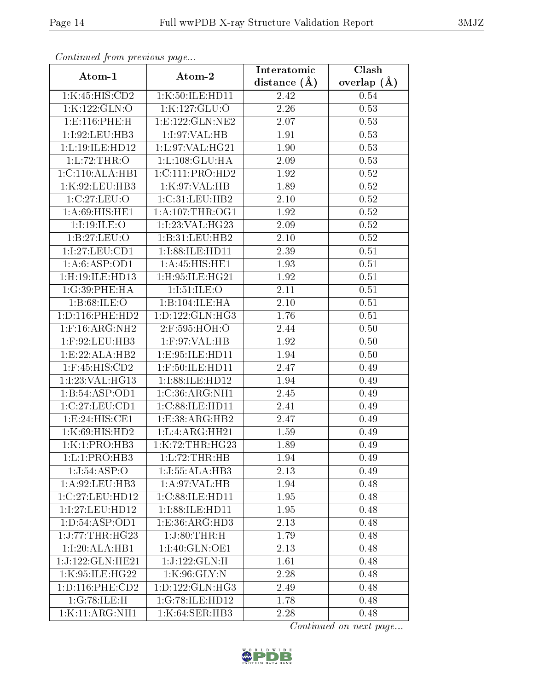| Communica from previous page |                             | Interatomic    | Clash         |  |
|------------------------------|-----------------------------|----------------|---------------|--|
| Atom-1                       | Atom-2                      | distance $(A)$ | overlap $(A)$ |  |
| 1:K:45:HIS:CD2               | 1:K:50:ILE:HD11             | 2.42           | 0.54          |  |
| 1:K:122:GLN:O                | 1:K:127:GLU:O               | 2.26           | 0.53          |  |
| 1: E: 116: PHE: H            | 1:E:122:GLN:NE2             | 2.07           | 0.53          |  |
| 1:I:92:LEU:HB3               | 1:I:97:VAL:HB               | 1.91           | 0.53          |  |
| 1: L: 19: ILE: HD12          | 1: L:97: VAL:HG21           | 1.90           | 0.53          |  |
| 1:L:72:THR:O                 | 1:L:108:GLU:HA              | 2.09           | 0.53          |  |
| 1:C:110:ALA:HB1              | 1:C:111:PRO:HD2             | 1.92           | 0.52          |  |
| 1:K:92:LEU:HB3               | 1:K:97:VAL:HB               | 1.89           | 0.52          |  |
| 1:C:27:LEU:O                 | 1:C:31:LEU:HB2              | 2.10           | 0.52          |  |
| 1: A:69: HIS: HE1            | 1: A:107:THR:OG1            | 1.92           | 0.52          |  |
| 1:1:19:ILE:O                 | 1:I:23:VAL:HG23             | 2.09           | 0.52          |  |
| 1:B:27:LEU:O                 | 1:B:31:LEU:HB2              | $2.10\,$       | 0.52          |  |
| 1:I:27:LEU:CD1               | 1:I:88:ILE:HD11             | 2.39           | 0.51          |  |
| 1:A:6:ASP:OD1                | $1:A:45:\overline{HIS:HE1}$ | 1.93           | 0.51          |  |
| 1:H:19:ILE:HD13              | 1:H:95:ILE:HG21             | 1.92           | 0.51          |  |
| 1:G:39:PHE:HA                | 1:1:51:ILE:O                | 2.11           | 0.51          |  |
| 1: B:68: ILE: O              | 1:B:104:ILE:HA              | 2.10           | 0.51          |  |
| 1: D: 116: PHE: HD2          | 1: D: 122: GLN: HG3         | 1.76           | 0.51          |  |
| $1:$ F:16:ARG:NH2            | 2:F:595:HOH:O               | 2.44           | 0.50          |  |
| 1:F:92:LEU:HB3               | 1:F:97:VAL:HB               | 1.92           | 0.50          |  |
| 1:E:22:ALA:HB2               | 1: E: 95: ILE: HD11         | 1.94           | 0.50          |  |
| 1:F:45:HIS:CD2               | 1:F:50:ILE:HD11             | 2.47           | 0.49          |  |
| 1:I:23:VAL:HG13              | 1:I:88:ILE:HD12             | 1.94           | 0.49          |  |
| 1:B:54:ASP:OD1               | 1:C:36:ARG:NH1              | 2.45           | 0.49          |  |
| 1:C:27:LEU:CD1               | 1:C:88:ILE:HD11             | 2.41           | 0.49          |  |
| 1:E:24:HIS:CE1               | 1: E: 38: ARG: HB2          | 2.47           | 0.49          |  |
| 1:K:69:HIS:HD2               | 1: L: 4: ARG: HH21          | 1.59           | 0.49          |  |
| $1:K:1:PRO:H\overline{B3}$   | 1:K:72:THR:HG23             | 1.89           | 0.49          |  |
| 1:L:1:PRO:HB3                | 1:L:72:THR:HB               | 1.94           | 0.49          |  |
| 1:J:54:ASP:O                 | $1:J:55:A\overline{LA:HB3}$ | 2.13           | 0.49          |  |
| 1:A:92:LEU:HB3               | 1: A:97: VAL:HB             | 1.94           | 0.48          |  |
| 1:C:27:LEU:HD12              | 1:C:88:ILE:HD11             | 1.95           | 0.48          |  |
| 1:I:27:LEU:HD12              | 1:I:88:ILE:HD11             | 1.95           | 0.48          |  |
| 1: D: 54: ASP: OD1           | 1:E:36:ARG:HD3              | 2.13           | 0.48          |  |
| 1:J:77:THR:HG23              | 1:J:80:THR:H                | 1.79           | 0.48          |  |
| 1:I:20:ALA:HB1               | 1:I:40:GLN:OE1              | 2.13           | 0.48          |  |
| 1:J:122:GLN:HE21             | 1:J:122:GLN:H               | 1.61           | 0.48          |  |
| 1:K:95:ILE:HG22              | 1:K:96:GLY:N                | 2.28           | 0.48          |  |
| 1: D: 116: PHE: CD2          | 1: D: 122: GLN: HG3         | 2.49           | 0.48          |  |
| 1:G:78:ILE:H                 | 1:G:78:ILE:HD12             | 1.78           | 0.48          |  |
| 1:K:11:ARG:NH1               | 1:K:64:SER:HB3              | 2.28           | 0.48          |  |

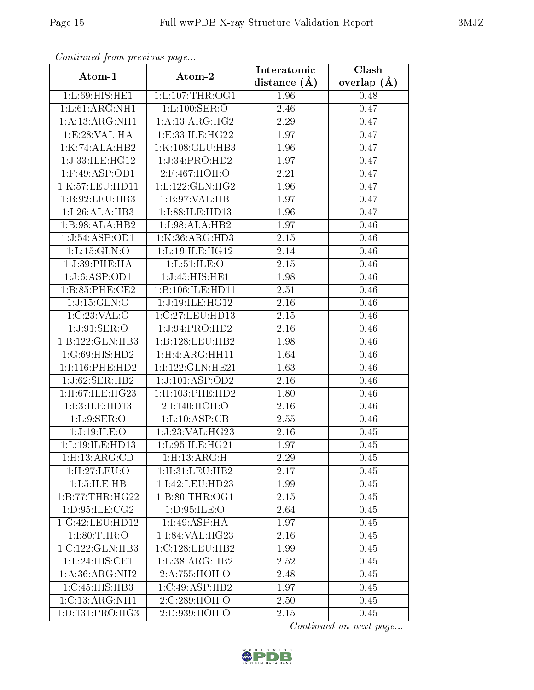| Communa from previous page |                        | Interatomic    | Clash           |  |
|----------------------------|------------------------|----------------|-----------------|--|
| Atom-1                     | Atom-2                 | distance $(A)$ | overlap $(\AA)$ |  |
| 1:L:69:HIS:HE1             | 1: L: 107: THR:OG1     | 1.96           | 0.48            |  |
| 1:L:61:ARG:NH1             | 1:L:100:SER:O          | 2.46           | 0.47            |  |
| 1: A: 13: ARG: NH1         | 1:A:13:ARG:HG2         | 2.29           | 0.47            |  |
| 1:E:28:VAL:HA              | 1: E:33: ILE: HG22     | 1.97           | 0.47            |  |
| 1:K:74:ALA:HB2             | 1:K:108:GLU:HB3        | 1.96           | 0.47            |  |
| 1:J:33:ILE:HG12            | 1:J:34:PRO:HD2         | 1.97           | 0.47            |  |
| $1:$ F:49:ASP:OD1          | 2:F:467:HOH:O          | 2.21           | 0.47            |  |
| 1:K:57:LEU:HDI1            | 1:L:122:GLN:HG2        | 1.96           | 0.47            |  |
| 1:B:92:LEU:HB3             | 1:B:97:VAL:HB          | 1.97           | 0.47            |  |
| 1:I:26:ALA:HB3             | 1:I:88:ILE:HD13        | 1.96           | 0.47            |  |
| 1:B:98:ALA:HB2             | 1:I:98:ALA:HB2         | 1.97           | 0.46            |  |
| 1:J:54:ASP:OD1             | 1:K:36:ARG:HD3         | 2.15           | 0.46            |  |
| 1: L: 15: GLN:O            | 1:L:19:ILE:HG12        | 2.14           | 0.46            |  |
| 1:J:39:PHE:HA              | 1: L: 51: ILE: O       | 2.15           | 0.46            |  |
| 1:J:6:ASP:OD1              | 1:J:45:HIS:HE1         | 1.98           | 0.46            |  |
| 1:B:85:PHE:CE2             | 1:B:106:ILE:HD11       | 2.51           | 0.46            |  |
| 1:J:15:GLN:O               | 1:J:19:ILE:HG12        | 2.16           | 0.46            |  |
| 1:C:23:VAL:O               | 1:C:27:LEU:HD13        | 2.15           | 0.46            |  |
| 1:J:91:SER:O               | 1:J:94:PRO:HD2         | 2.16           | 0.46            |  |
| 1:B:122:GLN:HB3            | 1:B:128:LEU:HB2        | 1.98           | 0.46            |  |
| 1:G:69:HIS:HD2             | 1: H: 4: ARG: HH11     | 1.64           | 0.46            |  |
| 1:1:116:PHE:HD2            | 1:I:122:GLN:HE21       | 1.63           | 0.46            |  |
| 1:J:62:SER:HB2             | 1:J:101:ASP:OD2        | 2.16           | 0.46            |  |
| 1:H:67:ILE:HG23            | $1:$ H: $103:$ PHE:HD2 | 1.80           | 0.46            |  |
| 1:I:3:ILE:HD13             | 2:I:140:HOH:O          | 2.16           | 0.46            |  |
| 1: L:9: SER:O              | 1: L: 10: ASP: CB      | 2.55           | 0.46            |  |
| 1:J:19:ILE:O               | 1:J:23:VAL:HG23        | 2.16           | 0.45            |  |
| 1: L: 19: ILE: HD13        | 1:L:95:ILE:HG21        | 1.97           | 0.45            |  |
| 1: H: 13: ARG: CD          | 1: H: 13: ARG: H       | 2.29           | 0.45            |  |
| 1:H:27:LEU:O               | 1:H:31:LEU:HB2         | 2.17           | 0.45            |  |
| 1:1:5:ILE:HB               | 1:I:42:LEU:HD23        | 1.99           | 0.45            |  |
| 1:B:77:THR:HG22            | 1:B:80:THR:OG1         | 2.15           | 0.45            |  |
| 1: D:95: ILE: CG2          | 1: D:95: ILE: O        | 2.64           | 0.45            |  |
| 1:G:42:LEU:HD12            | 1:1:49:ASP:HA          | 1.97           | 0.45            |  |
| 1:1:80:THR:O               | 1:1:84:VAL:HG23        | 2.16           | 0.45            |  |
| 1:C:122:GLN:HB3            | 1:C:128:LEU:HB2        | 1.99           | 0.45            |  |
| 1:L:24:HIS:CE1             | 1: L: 38: ARG: HB2     | 2.52           | 0.45            |  |
| 1:A:36:ARG:NH2             | 2:A:755:HOH:O          | 2.48           | 0.45            |  |
| 1: C: 45: HIS: HB3         | 1:C:49:ASP:HB2         | 1.97           | 0.45            |  |
| 1:C:13:ARG:NH1             | 2:C:289:HOH:O          | 2.50           | 0.45            |  |
| 1: D: 131: PRO:HG3         | 2:D:939:HOH:O          | 2.15           | 0.45            |  |

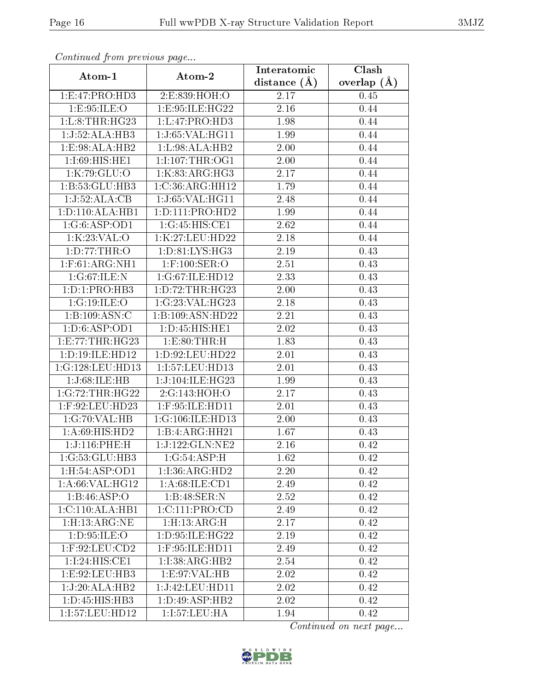| Commaca from previous page |                     | Interatomic    | Clash         |  |
|----------------------------|---------------------|----------------|---------------|--|
| Atom-1                     | Atom-2              | distance $(A)$ | overlap $(A)$ |  |
| 1:E:47:PRO:HD3             | 2:E:839:HOH:O       | 2.17           | 0.45          |  |
| 1:E:95:ILE:O               | 1:E:95:ILE:HG22     | 2.16           | 0.44          |  |
| 1: L: 8: THR: HG23         | 1: L: 47: PRO: HD3  | 1.98           | 0.44          |  |
| 1:J:52:ALA:HB3             | 1:J:65:VAL:HG11     | 1.99           | 0.44          |  |
| 1: E: 98: ALA: HB2         | 1: L:98: ALA:HB2    | 2.00           | 0.44          |  |
| 1:I:69:HIS:HE1             | 1:1:107:THR:OG1     | 2.00           | 0.44          |  |
| 1:K:79:GLU:O               | 1:K:83:ARG:HG3      | 2.17           | 0.44          |  |
| 1:B:53:GLU:HB3             | 1:C:36:ARG:HH12     | 1.79           | 0.44          |  |
| 1:J:52:ALA:CB              | 1:J:65:VAL:HG11     | 2.48           | 0.44          |  |
| 1: D: 110: ALA: HB1        | 1: D: 111: PRO: HD2 | 1.99           | 0.44          |  |
| 1:G:6:ASP:OD1              | 1:G:45:HIS:CE1      | 2.62           | 0.44          |  |
| 1:K:23:VAL:O               | 1:K:27:LEU:HD22     | 2.18           | 0.44          |  |
| 1: D: 77: THR: O           | 1: D: 81: LYS: HG3  | 2.19           | 0.43          |  |
| $1:$ F:61:ARG:NH1          | $1:$ F:100:SER:O    | 2.51           | 0.43          |  |
| 1:G:67:ILE:N               | 1:G:67:ILE:HD12     | 2.33           | 0.43          |  |
| 1:D:1:PRO:HB3              | 1: D: 72: THR: HG23 | 2.00           | 0.43          |  |
| 1:G:19:ILE:O               | 1:G:23:VAL:HG23     | 2.18           | 0.43          |  |
| 1:B:109:ASN:C              | 1:B:109:ASN:HD22    | 2.21           | 0.43          |  |
| 1: D:6: ASP:OD1            | 1:D:45:HIS:HE1      | 2.02           | 0.43          |  |
| 1: E: 77: THR: HG23        | 1: E: 80: THR:H     | 1.83           | 0.43          |  |
| 1:D:19:ILE:HD12            | 1:D:92:LEU:HD22     | 2.01           | 0.43          |  |
| 1:G:128:LEU:HD13           | 1:I:57:LEU:HD13     | 2.01           | 0.43          |  |
| 1:J:68:ILE:HB              | 1:J:104:ILE:HG23    | 1.99           | 0.43          |  |
| 1:G:72:THR:HG22            | 2:G:143:HOH:O       | 2.17           | 0.43          |  |
| 1:F:92:LEU:HD23            | 1:F:95:ILE:HD11     | 2.01           | 0.43          |  |
| 1:G:70:VAL:HB              | 1:G:106:ILE:HD13    | 2.00           | 0.43          |  |
| 1: A:69: HIS: HD2          | 1:B:4:ARG:HH21      | 1.67           | 0.43          |  |
| 1:J:116:PHE:H              | 1:J:122:GLN:NE2     | 2.16           | 0.42          |  |
| 1:G:53:GLU:HB3             | 1:G:54:ASP:H        | 1.62           | 0.42          |  |
| 1: H: 54: ASP: OD1         | 1:1:36:ARG:HD2      | 2.20           | 0.42          |  |
| 1: A:66: VAL:HG12          | 1: A:68: ILE: CD1   | 2.49           | 0.42          |  |
| 1:B:46:ASP:O               | 1:B:48:SER:N        | 2.52           | 0.42          |  |
| 1:C:110:ALA:HB1            | 1:C:111:PRO:CD      | 2.49           | 0.42          |  |
| 1:H:13:ARG:NE              | 1: H: 13: ARG: H    | 2.17           | 0.42          |  |
| 1: D:95: ILE: O            | 1: D: 95: ILE: HG22 | 2.19           | 0.42          |  |
| $1:$ F:92:LEU:CD2          | $1:$ F:95:ILE:HD11  | 2.49           | 0.42          |  |
| 1:1:24:HIS:CE1             | 1:1:38:ARG:HB2      | 2.54           | 0.42          |  |
| 1:E:92:LEU:HB3             | 1:E:97:VAL:HB       | 2.02           | 0.42          |  |
| 1:J:20:ALA:HB2             | 1:J:42:LEU:HD11     | 2.02           | 0.42          |  |
| 1:D:45:HIS:HB3             | 1:D:49:ASP:HB2      | 2.02           | 0.42          |  |
| 1:I:57:LEU:HD12            | 1:I:57:LEU:HA       | 1.94           | 0.42          |  |

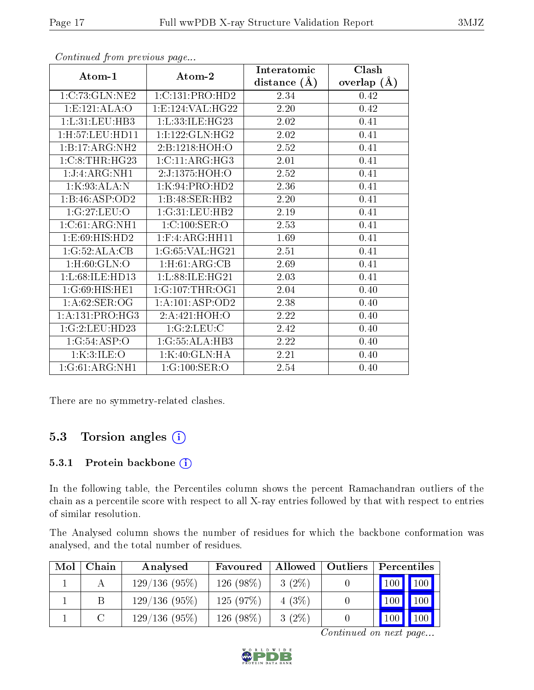|                               |                       | Interatomic    | Clash         |
|-------------------------------|-----------------------|----------------|---------------|
| Atom-1                        | Atom-2                | distance $(A)$ | overlap $(A)$ |
| 1:C:73:GLN:NE2                | 1:C:131:PRO:HD2       | 2.34           | 0.42          |
| 1: E: 121: ALA: O             | 1:E:124:VAL:HG22      | 2.20           | 0.42          |
| 1:L:31:LEU:HB3                | 1:L:33:ILE:HG23       | 2.02           | 0.41          |
| $1:$ H $:57:$ LEU $:$ HD $11$ | 1:1:122:GLN:HG2       | 2.02           | 0.41          |
| 1:B:17:ARG:NH2                | 2:B:1218:HOH:O        | 2.52           | 0.41          |
| 1:C:8:THR:HG23                | 1:C:11:ARG:HG3        | 2.01           | 0.41          |
| 1:J:4:ARG:NH1                 | 2:J:1375:HOH:O        | 2.52           | 0.41          |
| 1:K:93:ALA:N                  | 1:K:94:PRO:HD2        | 2.36           | 0.41          |
| 1:B:46:ASP:OD2                | 1:B:48:SER:HB2        | 2.20           | 0.41          |
| 1:G:27:LEU:O                  | 1:G:31:LEU:HB2        | 2.19           | 0.41          |
| 1:C:61:ARG:NH1                | 1:C:100:SER:O         | 2.53           | 0.41          |
| 1:E:69:HIS:HD2                | $1:$ F: $4:$ ARG:HH11 | 1.69           | 0.41          |
| 1:G:52:ALA:CB                 | 1:G:65:VAL:HG21       | 2.51           | 0.41          |
| $1:$ H:60:GLN:O               | 1: H:61: ARG:CB       | 2.69           | 0.41          |
| 1:L:68:ILE:HD13               | 1:L:88:ILE:HG21       | 2.03           | 0.41          |
| 1:G:69:HIS:HE1                | 1:G:107:THR:OG1       | 2.04           | 0.40          |
| 1: A:62: SER:OG               | 1:A:101:ASP:OD2       | 2.38           | 0.40          |
| 1: A: 131: PRO:HG3            | 2:A:421:HOH:O         | 2.22           | 0.40          |
| 1:G:2:LEU:HD23                | 1:G:2:LEU:C           | 2.42           | 0.40          |
| 1:G:54:ASP:O                  | 1:G:55:ALA:HB3        | 2.22           | 0.40          |
| 1:K:3:ILE:O                   | 1:K:40:GLN:HA         | 2.21           | 0.40          |
| 1:G:61:ARG:NH1                | 1:G:100:SER:O         | 2.54           | 0.40          |

There are no symmetry-related clashes.

# 5.3 Torsion angles (i)

### 5.3.1 Protein backbone (i)

In the following table, the Percentiles column shows the percent Ramachandran outliers of the chain as a percentile score with respect to all X-ray entries followed by that with respect to entries of similar resolution.

The Analysed column shows the number of residues for which the backbone conformation was analysed, and the total number of residues.

| Mol | Chain | Analysed        | Favoured  | Allowed  | <b>Outliers</b> | $\lvert$ Percentiles |                     |
|-----|-------|-----------------|-----------|----------|-----------------|----------------------|---------------------|
|     |       | 129/136(95%)    | 126 (98%) | $3(2\%)$ |                 | 100 100              |                     |
|     |       | $129/136(95\%)$ | 125(97%)  | 4(3%)    |                 | 100                  | $\vert$ 100 $\vert$ |
|     |       | 129/136(95%)    | 126 (98%) | $3(2\%)$ |                 | 100                  | <b>100</b>          |

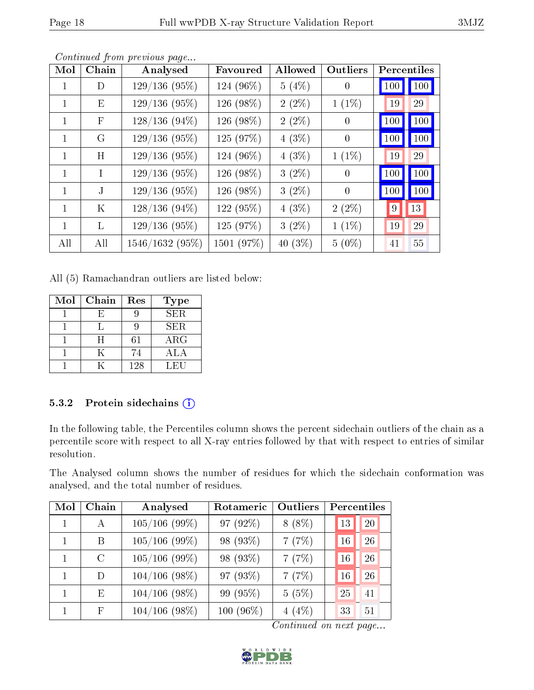| Mol | Chain        | Analysed        | Favoured   | Allowed    | Outliers       |     | Percentiles |
|-----|--------------|-----------------|------------|------------|----------------|-----|-------------|
| 1   | $\Box$       | 129/136(95%)    | 124 (96%)  | 5(4%)      | $\theta$       | 100 | 100         |
| 1   | Ε            | 129/136(95%)    | 126 (98%)  | $2(2\%)$   | $1(1\%)$       | 19  | 29          |
| 1   | $\mathbf{F}$ | $128/136(94\%)$ | 126 (98%)  | $2(2\%)$   | $\overline{0}$ | 100 | $\vert$ 100 |
| 1   | G            | 129/136(95%)    | 125 (97%)  | $4(3\%)$   | $\theta$       | 100 | $100\,$     |
| 1   | H            | 129/136(95%)    | 124 (96%)  | $4(3\%)$   | $1(1\%)$       | 19  | 29          |
| 1   | Ι            | $129/136(95\%)$ | 126 (98%)  | $3(2\%)$   | $\theta$       | 100 | 100         |
| 1   | J.           | 129/136(95%)    | 126 (98%)  | $3(2\%)$   | $\theta$       | 100 | 100         |
| 1   | K            | $128/136(94\%)$ | 122 (95%)  | $4(3\%)$   | $2(2\%)$       | 9   | 13          |
| 1   | L            | 129/136(95%)    | 125 (97%)  | $3(2\%)$   | $1(1\%)$       | 19  | 29          |
| All | All          | 1546/1632(95%)  | 1501 (97%) | 40 $(3\%)$ | $5(0\%)$       | 41  | 55          |

All (5) Ramachandran outliers are listed below:

| Mol | Chain | Res | <b>Type</b> |
|-----|-------|-----|-------------|
|     |       |     | <b>SER</b>  |
|     |       |     | SER.        |
|     | H     | 61  | ARG         |
|     |       | 74  | <b>ALA</b>  |
|     |       | 128 | LEU         |

### 5.3.2 Protein sidechains (i)

In the following table, the Percentiles column shows the percent sidechain outliers of the chain as a percentile score with respect to all X-ray entries followed by that with respect to entries of similar resolution.

The Analysed column shows the number of residues for which the sidechain conformation was analysed, and the total number of residues.

| Mol          | Chain         | Analysed        | Rotameric | Outliers | Percentiles |
|--------------|---------------|-----------------|-----------|----------|-------------|
|              | А             | $105/106$ (99%) | 97 (92%)  | $8(8\%)$ | 20<br>13    |
| $\mathbf{1}$ | B             | $105/106$ (99%) | 98 (93%)  | 7(7%)    | 26<br>16    |
|              | $\mathcal{C}$ | $105/106$ (99%) | 98 (93%)  | 7(7%)    | 26<br>16    |
|              | D             | $104/106$ (98%) | 97 (93%)  | 7(7%)    | 26<br>16    |
| 1.           | E             | $104/106$ (98%) | 99 (95%)  | 5(5%)    | 25<br>41    |
|              | F             | $104/106$ (98%) | 100 (96%) | $4(4\%)$ | 33<br>51    |

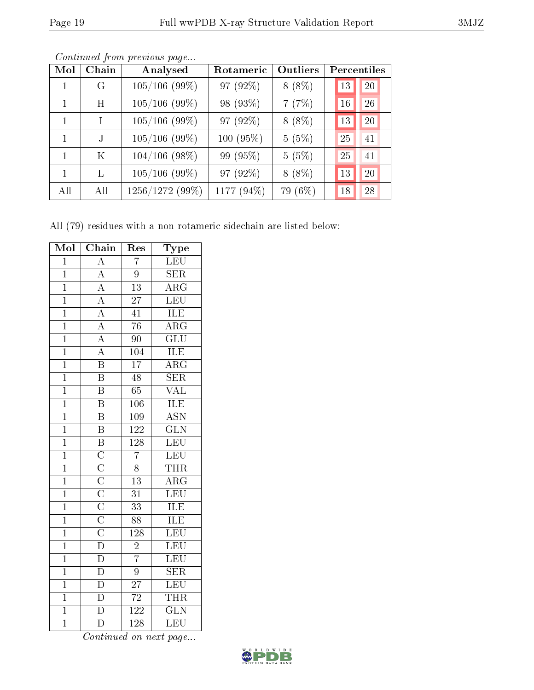| Mol          | Chain | Analysed        | Rotameric  | <b>Outliers</b> | Percentiles |
|--------------|-------|-----------------|------------|-----------------|-------------|
| 1            | G     | $105/106$ (99%) | 97 (92%)   | $8(8\%)$        | 20<br>13    |
| 1            | H     | $105/106$ (99%) | 98 (93%)   | 7(7%)           | 26<br>16    |
| 1            |       | $105/106$ (99%) | 97 (92%)   | $8(8\%)$        | 20<br>13    |
| 1            |       | $105/106$ (99%) | 100 (95%)  | 5(5%)           | 41<br>25    |
| 1            | K     | $104/106$ (98%) | 99 (95%)   | 5(5%)           | 41<br>25    |
| $\mathbf{1}$ | T.    | $105/106$ (99%) | 97 (92%)   | $8(8\%)$        | 20<br>13    |
| All          | All   | 1256/1272 (99%) | 1177 (94%) | 79 (6%)         | 28<br>18    |

Continued from previous page...

All (79) residues with a non-rotameric sidechain are listed below:

| Mol            | Chain                                                                                                                                                                               | Res              | Type                                                  |
|----------------|-------------------------------------------------------------------------------------------------------------------------------------------------------------------------------------|------------------|-------------------------------------------------------|
| $\overline{1}$ | $\overline{A}$                                                                                                                                                                      | $\overline{7}$   | LEU                                                   |
| $\overline{1}$ |                                                                                                                                                                                     | $\overline{9}$   | $\overline{\text{SER}}$                               |
| $\overline{1}$ |                                                                                                                                                                                     | $\overline{13}$  | $\overline{\rm{ARG}}$                                 |
| $\overline{1}$ |                                                                                                                                                                                     | $\overline{27}$  | $\overline{\text{LEU}}$                               |
| $\overline{1}$ |                                                                                                                                                                                     | 41               | <b>ILE</b>                                            |
| $\overline{1}$ |                                                                                                                                                                                     | $\overline{76}$  | $\overline{\text{ARG}}$                               |
| $\overline{1}$ |                                                                                                                                                                                     | $\overline{90}$  | $\overline{\text{GLU}}$                               |
| $\overline{1}$ |                                                                                                                                                                                     | 104              | <b>ILE</b>                                            |
| $\overline{1}$ | $\frac{\overline{A}}{\overline{A}}$ $\frac{\overline{A}}{\overline{A}}$ $\frac{\overline{A}}{\overline{A}}$ $\frac{\overline{A}}{\overline{A}}$ $\frac{\overline{A}}{\overline{B}}$ | $\overline{17}$  | $\overline{\rm{ARG}}$                                 |
| $\overline{1}$ | $\overline{\mathbf{B}}$                                                                                                                                                             | $\overline{48}$  | $\overline{\text{SER}}$                               |
| $\overline{1}$ | $\overline{\mathrm{B}}$                                                                                                                                                             | $\overline{65}$  | $\overline{\text{VAL}}$                               |
| $\overline{1}$ | $\overline{B}$                                                                                                                                                                      | $\overline{106}$ | $\frac{\overline{\text{ILE}}}{\overline{\text{ASN}}}$ |
| $\overline{1}$ | $\overline{B}$                                                                                                                                                                      | $\overline{109}$ |                                                       |
| $\overline{1}$ | $\overline{\mathbf{B}}$                                                                                                                                                             | <sup>122</sup>   | $\frac{\overline{\text{GLN}}}{\text{LEU}}$            |
| $\overline{1}$ |                                                                                                                                                                                     | $\overline{128}$ |                                                       |
| $\overline{1}$ |                                                                                                                                                                                     | $\overline{7}$   | $\frac{\overline{\text{LEU}}}{\text{THR}}$            |
| $\overline{1}$ |                                                                                                                                                                                     | $\overline{8}$   |                                                       |
| $\overline{1}$ |                                                                                                                                                                                     | $\overline{13}$  | $\frac{\overline{\text{ARG}}}{\text{LEU}}$            |
| $\overline{1}$ |                                                                                                                                                                                     | $\overline{31}$  |                                                       |
| $\overline{1}$ |                                                                                                                                                                                     | $\overline{33}$  | $\frac{\overline{\text{ILE}}}{\text{ILE}}$            |
| $\overline{1}$ |                                                                                                                                                                                     | $\overline{88}$  |                                                       |
| $\overline{1}$ |                                                                                                                                                                                     | $\overline{128}$ | LEU                                                   |
| $\overline{1}$ | $\overline{B}$ $\overline{C}$ $\overline{C}$ $\overline{C}$ $\overline{C}$ $\overline{C}$ $\overline{C}$ $\overline{D}$ $\overline{D}$                                              | $\frac{2}{7}$    | $\overline{\text{LEU}}$                               |
| $\overline{1}$ |                                                                                                                                                                                     |                  | $\overline{\text{LEU}}$                               |
| $\overline{1}$ | $\overline{D}$<br>$\overline{D}$<br>$\overline{D}$<br>$\overline{D}$<br>$\overline{D}$                                                                                              | $\overline{9}$   | $\overline{\text{SER}}$                               |
| $\overline{1}$ |                                                                                                                                                                                     | $\overline{27}$  | LEU                                                   |
| $\mathbf{1}$   |                                                                                                                                                                                     | $\overline{72}$  | <b>THR</b>                                            |
| $\overline{1}$ |                                                                                                                                                                                     | $122\,$          | $\overline{{\rm GLN}}$                                |
| $\overline{1}$ | $\overline{\rm D}$                                                                                                                                                                  | 128              | $\overline{\text{LEU}}$                               |

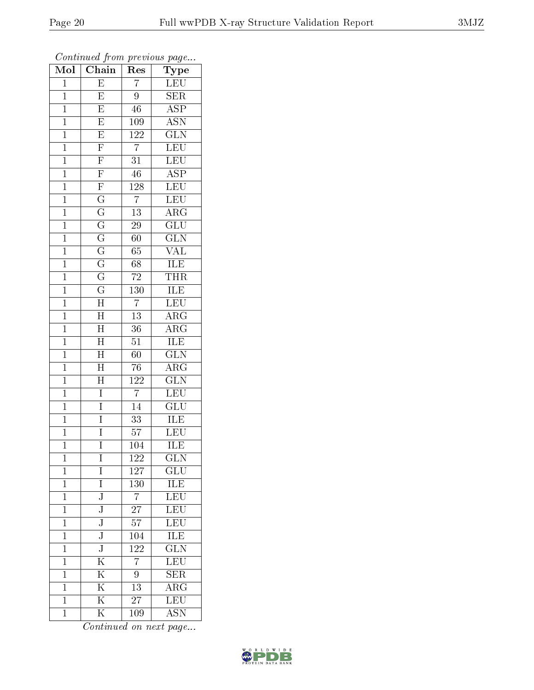| $\overline{\text{Mol}}$ | $\sim$ $\sim$<br>$\overline{\text{Chain}}$ | r -<br>Res       | $\mathbf{r}$ $\sim$ $\mathbf{v}$<br>Type                                                                                                                                                                                                                                                                                                                                                                     |
|-------------------------|--------------------------------------------|------------------|--------------------------------------------------------------------------------------------------------------------------------------------------------------------------------------------------------------------------------------------------------------------------------------------------------------------------------------------------------------------------------------------------------------|
| $\mathbf 1$             | $\overline{E}$                             | $\overline{7}$   | LEU                                                                                                                                                                                                                                                                                                                                                                                                          |
| $\mathbf{1}$            | $\overline{\mathrm{E}}$                    | $\overline{9}$   | SER                                                                                                                                                                                                                                                                                                                                                                                                          |
| $\overline{1}$          | $\overline{\mathrm{E}}$                    | 46               | $\overline{\text{ASP}}$                                                                                                                                                                                                                                                                                                                                                                                      |
| $\mathbf 1$             | $\overline{\mathrm{E}}$                    | 109              | $\overline{\mathrm{ASN}}$                                                                                                                                                                                                                                                                                                                                                                                    |
| $\overline{1}$          | $\overline{E}$                             | <sup>122</sup>   | $\overline{\text{GLN}}$                                                                                                                                                                                                                                                                                                                                                                                      |
| $\overline{1}$          | $\frac{1}{F}$                              | $\overline{7}$   | $\overline{\text{LEU}}$                                                                                                                                                                                                                                                                                                                                                                                      |
| $\mathbf 1$             | $\overline{F}$                             | 31               | $\overline{\text{LEU}}$                                                                                                                                                                                                                                                                                                                                                                                      |
| $\mathbf 1$             | $\overline{\mathrm{F}}$                    | 46               | $\overline{\text{ASP}}$                                                                                                                                                                                                                                                                                                                                                                                      |
| $\overline{1}$          | $\overline{\mathrm{F}}$                    | $1\,28$          | $\overline{\text{LEU}}$                                                                                                                                                                                                                                                                                                                                                                                      |
| $\overline{1}$          | $\overline{G}$                             | $\overline{7}$   | LEU                                                                                                                                                                                                                                                                                                                                                                                                          |
| $\mathbf{1}$            | $\overline{G}$                             | $\overline{13}$  | $\rm{ARG}$                                                                                                                                                                                                                                                                                                                                                                                                   |
| $\mathbf{1}$            | $\overline{\mathrm{G}}$                    | 29               | $\overline{\text{GLU}}$                                                                                                                                                                                                                                                                                                                                                                                      |
| $\mathbf{1}$            | $\overline{G}$                             | 60               | $\overline{\text{GLN}}$                                                                                                                                                                                                                                                                                                                                                                                      |
| $\mathbf 1$             | $\overline{\mathrm{G}}$                    | $\overline{65}$  | $\overline{\text{VAL}}$                                                                                                                                                                                                                                                                                                                                                                                      |
| $\overline{1}$          | $\overline{G}$                             | 68               | <b>ILE</b>                                                                                                                                                                                                                                                                                                                                                                                                   |
| $\mathbf{1}$            | $\overline{\mathrm{G}}$                    | $\overline{72}$  | <b>THR</b>                                                                                                                                                                                                                                                                                                                                                                                                   |
| $\overline{1}$          | $\overline{\mathrm{G}}$                    | $\overline{130}$ | <b>ILE</b>                                                                                                                                                                                                                                                                                                                                                                                                   |
| $\overline{1}$          | $\overline{\mathrm{H}}$                    | $\overline{7}$   | <b>LEU</b>                                                                                                                                                                                                                                                                                                                                                                                                   |
| $\overline{1}$          | $\overline{\rm H}$                         | $\overline{13}$  | $\rm{ARG}$                                                                                                                                                                                                                                                                                                                                                                                                   |
| $\overline{1}$          | $\overline{\rm H}$                         | $\overline{36}$  | $\overline{\rm ARG}$                                                                                                                                                                                                                                                                                                                                                                                         |
| $\mathbf{1}$            | $\overline{\rm H}$                         | 51               | ILE                                                                                                                                                                                                                                                                                                                                                                                                          |
| $\overline{1}$          | $\overline{\rm H}$                         | $60\,$           | $\overline{\text{GLN}}$                                                                                                                                                                                                                                                                                                                                                                                      |
| $\mathbf 1$             | $\overline{\rm H}$                         | $\overline{7}6$  | $\overline{\rm{ARG}}$                                                                                                                                                                                                                                                                                                                                                                                        |
| $\overline{1}$          | $\overline{\rm H}$                         | <sup>122</sup>   | $\overline{\text{GLN}}$                                                                                                                                                                                                                                                                                                                                                                                      |
| $\overline{1}$          | $\overline{I}$                             | $\overline{7}$   | LEU                                                                                                                                                                                                                                                                                                                                                                                                          |
| $\mathbf{1}$            | Ī                                          | 14               | $\overline{{\rm GLU}}$                                                                                                                                                                                                                                                                                                                                                                                       |
| $\mathbf 1$             | $\overline{I}$                             | $\overline{33}$  | ILE                                                                                                                                                                                                                                                                                                                                                                                                          |
| $\overline{1}$          | Ī                                          | $\overline{57}$  | LEU                                                                                                                                                                                                                                                                                                                                                                                                          |
| $\overline{1}$          | $\overline{I}$                             | $\overline{104}$ | ILE                                                                                                                                                                                                                                                                                                                                                                                                          |
| $\mathbf 1$             | Ι                                          | <u>122</u>       | $_{\rm GLN}$                                                                                                                                                                                                                                                                                                                                                                                                 |
| $\mathbf{1}$            | $\mathbf I$                                | $\overline{1}27$ | GLU                                                                                                                                                                                                                                                                                                                                                                                                          |
| $\mathbf{1}$            | $\overline{I}$                             | 130              | $\begin{tabular}{ c c } \hline \rule{0pt}{2ex} \rule{0pt}{2ex} \rule{0pt}{2ex} \rule{0pt}{2ex} \rule{0pt}{2ex} \rule{0pt}{2ex} \rule{0pt}{2ex} \rule{0pt}{2ex} \rule{0pt}{2ex} \rule{0pt}{2ex} \rule{0pt}{2ex} \rule{0pt}{2ex} \rule{0pt}{2ex} \rule{0pt}{2ex} \rule{0pt}{2ex} \rule{0pt}{2ex} \rule{0pt}{2ex} \rule{0pt}{2ex} \rule{0pt}{2ex} \rule{0pt}{2ex} \rule{0pt}{2ex} \rule{0pt}{2ex} \rule{0pt}{2$ |
| $\mathbf 1$             | J                                          | $\overline{7}$   | $\overline{\text{LEU}}$                                                                                                                                                                                                                                                                                                                                                                                      |
| $\overline{1}$          | $\overline{\text{J}}$                      | $\overline{27}$  | LEU                                                                                                                                                                                                                                                                                                                                                                                                          |
| $\mathbf{1}$            | J                                          | 57               | LEU                                                                                                                                                                                                                                                                                                                                                                                                          |
| $\mathbf 1$             | $\overline{\text{J}}$                      | 104              | <b>ILE</b>                                                                                                                                                                                                                                                                                                                                                                                                   |
| $\mathbf 1$             | $\overline{\mathsf{J}}$                    | 122              | $\overline{\text{GLN}}$                                                                                                                                                                                                                                                                                                                                                                                      |
| $\overline{1}$          | $\overline{\mathrm{K}}$                    | $\overline{7}$   | $\overline{\text{LEU}}$                                                                                                                                                                                                                                                                                                                                                                                      |
| $\mathbf{1}$            | $\overline{\mathrm{K}}$                    | 9                | $\overline{\text{SER}}$                                                                                                                                                                                                                                                                                                                                                                                      |
| $\mathbf 1$             | $\overline{\mathrm{K}}$                    | $\overline{13}$  | $\overline{\rm{ARG}}$                                                                                                                                                                                                                                                                                                                                                                                        |
| $\mathbf 1$             | $\overline{\mathrm{K}}$                    | 27               | $\overline{\text{LEU}}$                                                                                                                                                                                                                                                                                                                                                                                      |
| $\overline{1}$          | $\overline{\mathrm{K}}$                    | 109              | <b>ASN</b>                                                                                                                                                                                                                                                                                                                                                                                                   |

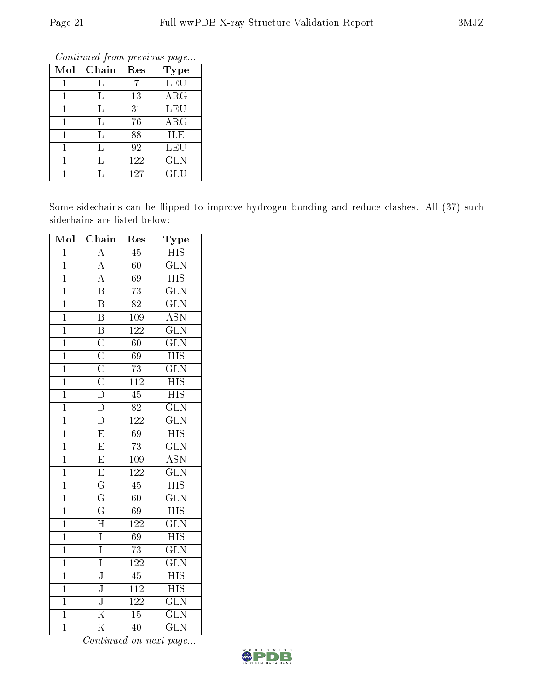| Continued from previous page |               |             |            |  |  |  |
|------------------------------|---------------|-------------|------------|--|--|--|
|                              | $Mol$   Chain | $\perp$ Res | Type       |  |  |  |
|                              |               |             | LEU        |  |  |  |
|                              |               | 13          | $\rm{ARG}$ |  |  |  |
|                              |               | ົ -         |            |  |  |  |

 $1 \mid L \mid 31 \mid LEU$ 1 L 76 ARG L 88 ILE 1 | L | 92 | LEU 1 L 122 GLN 1 L 127 GLU

Some sidechains can be flipped to improve hydrogen bonding and reduce clashes. All (37) such sidechains are listed below:

| Mol            | Chain                                                                                | Res              | Type                      |  |
|----------------|--------------------------------------------------------------------------------------|------------------|---------------------------|--|
| $\overline{1}$ | $\overline{\rm A}$                                                                   | $\overline{45}$  | $\overline{\rm HIS}$      |  |
| $\mathbf{1}$   | $\overline{A}$                                                                       | 60               | $\overline{\text{GLN}}$   |  |
| $\overline{1}$ | $\overline{A}$                                                                       | 69               | $\overline{\mathrm{HIS}}$ |  |
| $\overline{1}$ | $\overline{\mathrm{B}}$                                                              | $\overline{73}$  | $\overline{\text{GLN}}$   |  |
| $\overline{1}$ | $\overline{\mathrm{B}}$                                                              | $\overline{82}$  | $\overline{\text{GLN}}$   |  |
| $\overline{1}$ | $\overline{\mathbf{B}}$                                                              | <b>109</b>       | $\overline{\text{ASN}}$   |  |
| $\overline{1}$ |                                                                                      | <sup>122</sup>   | $\overline{\text{GLN}}$   |  |
| $\mathbf{1}$   |                                                                                      | 60               | $\overline{\text{GLN}}$   |  |
| $\overline{1}$ |                                                                                      | 69               | <b>HIS</b>                |  |
| $\overline{1}$ | $\overline{B}\ \overline{C}\ \overline{C}\ \overline{C}\ \overline{C}\ \overline{D}$ | $\overline{73}$  | $\overline{\text{GLN}}$   |  |
| $\overline{1}$ |                                                                                      | $\overline{112}$ | $\overline{\text{HIS}}$   |  |
| $\overline{1}$ |                                                                                      | $\overline{45}$  | <b>HIS</b>                |  |
| $\overline{1}$ | $\overline{\rm D}$                                                                   | $\overline{82}$  | $\overline{\text{GLN}}$   |  |
| $\overline{1}$ | $\overline{\rm D}$                                                                   | $\overline{122}$ | $\overline{\text{GLN}}$   |  |
| $\overline{1}$ | $\overline{\mathrm{E}}$                                                              | $\overline{69}$  | $\overline{HIS}$          |  |
| $\overline{1}$ | $\overline{E}$                                                                       | $\overline{73}$  | $\overline{\text{GLN}}$   |  |
| $\mathbf{1}$   | $\overline{\mathrm{E}}$                                                              | 109              | $\overline{\mathrm{ASN}}$ |  |
| $\overline{1}$ | $\overline{E}$                                                                       | $\overline{122}$ | $\overline{\text{GLN}}$   |  |
| $\overline{1}$ | $\overline{\mathrm{G}}$                                                              | $\overline{45}$  | $\overline{HIS}$          |  |
| $\mathbf{1}$   | $\overline{\mathrm{G}}$                                                              | $\overline{60}$  | $\overline{\text{GLN}}$   |  |
| $\overline{1}$ | $\overline{\mathrm{G}}$                                                              | 69               | $\overline{\text{HIS}}$   |  |
| $\overline{1}$ | $\overline{\rm H}$                                                                   | <b>122</b>       | $\overline{\text{GLN}}$   |  |
| $\overline{1}$ | $\overline{I}$                                                                       | $\overline{69}$  | $\overline{\mathrm{HIS}}$ |  |
| $\overline{1}$ | $\overline{I}$                                                                       | $\overline{73}$  | $\overline{\text{GLN}}$   |  |
| $\overline{1}$ | $\overline{I}$                                                                       | $\overline{122}$ | $\overline{\text{GLN}}$   |  |
| $\overline{1}$ | $\overline{\mathbf{J}}$                                                              | $\overline{45}$  | $\overline{HIS}$          |  |
| $\overline{1}$ | $\overline{\text{J}}$                                                                | <sup>112</sup>   | $\overline{\mathrm{HIS}}$ |  |
| $\overline{1}$ | $\overline{\text{J}}$                                                                | $\overline{122}$ | $\overline{\text{GLN}}$   |  |
| $\overline{1}$ | $\overline{\mathrm{K}}$                                                              | 15               | $\overline{\text{GLN}}$   |  |
| $\overline{1}$ | $\overline{\rm K}$                                                                   | $\overline{40}$  | $\overline{\text{GLN}}$   |  |

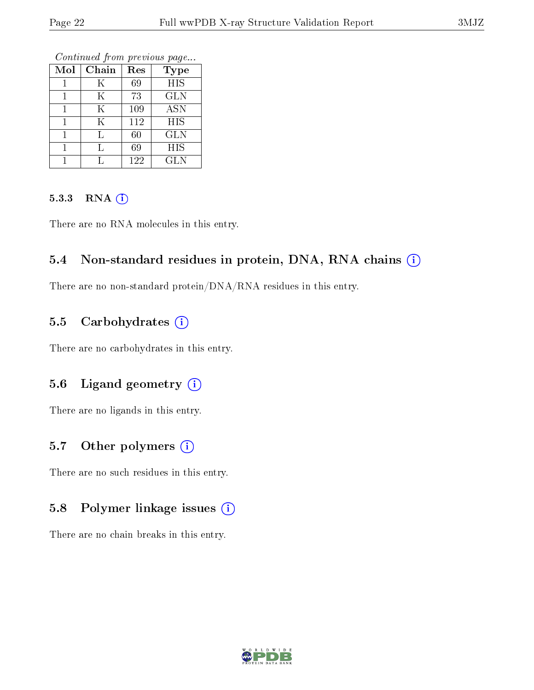Continued from previous page...

| Mol | Chain | Res    | <b>Type</b> |
|-----|-------|--------|-------------|
|     | K     | 69     | <b>HIS</b>  |
|     | Κ     | 73     | <b>GLN</b>  |
|     | Κ     | 109    | <b>ASN</b>  |
|     | Κ     | 112    | HIS         |
|     | Γ     | $60\,$ | GLN         |
|     |       | 69     | HIS         |
|     |       | 122    | <b>GLN</b>  |

#### 5.3.3 RNA [O](https://www.wwpdb.org/validation/2017/XrayValidationReportHelp#rna)i

There are no RNA molecules in this entry.

### 5.4 Non-standard residues in protein, DNA, RNA chains (i)

There are no non-standard protein/DNA/RNA residues in this entry.

### 5.5 Carbohydrates (i)

There are no carbohydrates in this entry.

# 5.6 Ligand geometry (i)

There are no ligands in this entry.

# 5.7 [O](https://www.wwpdb.org/validation/2017/XrayValidationReportHelp#nonstandard_residues_and_ligands)ther polymers  $(i)$

There are no such residues in this entry.

### 5.8 Polymer linkage issues (i)

There are no chain breaks in this entry.

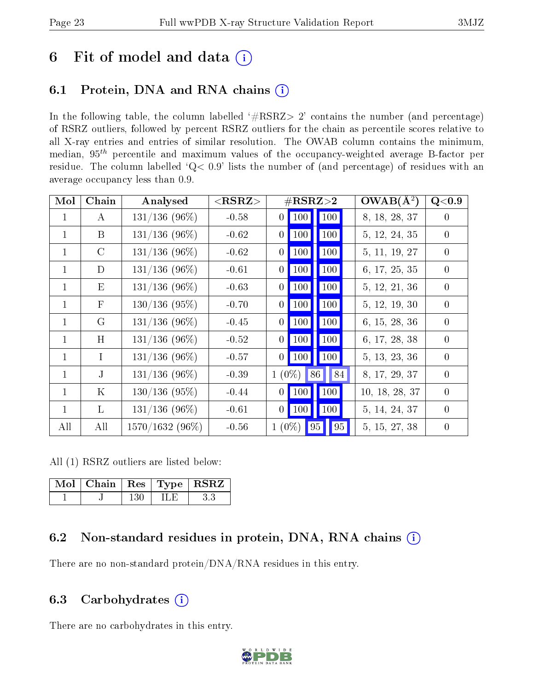# 6 Fit of model and data  $(i)$

# 6.1 Protein, DNA and RNA chains  $(i)$

In the following table, the column labelled  $#RSRZ> 2'$  contains the number (and percentage) of RSRZ outliers, followed by percent RSRZ outliers for the chain as percentile scores relative to all X-ray entries and entries of similar resolution. The OWAB column contains the minimum, median,  $95<sup>th</sup>$  percentile and maximum values of the occupancy-weighted average B-factor per residue. The column labelled ' $Q< 0.9$ ' lists the number of (and percentage) of residues with an average occupancy less than 0.9.

| Mol          | Chain         | Analysed         | ${ <\hspace{-1.5pt}{\mathrm{RSRZ}} \hspace{-1.5pt}>}$ |                                       | $\#\text{RSRZ}\text{>2}$ |                          | $\overline{\text{OWAB}}(\AA^2)$ | Q<0.9          |
|--------------|---------------|------------------|-------------------------------------------------------|---------------------------------------|--------------------------|--------------------------|---------------------------------|----------------|
| $\mathbf{1}$ | $\bf{A}$      | $131/136$ (96\%) | $-0.58$                                               | $\overline{0}$                        | $\vert$ 100              | 100                      | 8, 18, 28, 37                   | $\Omega$       |
| $\mathbf{1}$ | B             | $131/136$ (96%)  | $-0.62$                                               |                                       | $0$   100                | 100                      | 5, 12, 24, 35                   | $\Omega$       |
| $\mathbf{1}$ | $\mathcal{C}$ | $131/136$ (96\%) | $-0.62$                                               | $\overline{0}$                        | $\mid$ 100               | $\vert$ 100              | 5, 11, 19, 27                   | $\theta$       |
| $\mathbf{1}$ | D             | $131/136$ (96%)  | $-0.61$                                               | $\vert 0 \vert$                       | $\vert$ 100              | $\vert$ 100 $\vert$      | 6, 17, 25, 35                   | $\overline{0}$ |
| $\mathbf{1}$ | E             | $131/136$ (96%)  | $-0.63$                                               | $\begin{array}{c} \hline \end{array}$ | $\vert$ 100              | 100                      | 5, 12, 21, 36                   | $\theta$       |
| $\mathbf{1}$ | F             | $130/136$ (95%)  | $-0.70$                                               | $\overline{0}$                        | $\vert$ 100 $\vert$      | $\vert$ 100 $\vert$      | 5, 12, 19, 30                   | $\theta$       |
| $\mathbf{1}$ | $\rm G$       | $131/136$ (96\%) | $-0.45$                                               | $\vert 0 \vert$                       | 100                      | $\vert$ 100 $\vert$      | 6, 15, 28, 36                   | $\theta$       |
| $\mathbf{1}$ | H             | $131/136$ (96\%) | $-0.52$                                               | $\begin{array}{c} \hline \end{array}$ | $\vert$ 100              | $\vert$ 100 $\vert$      | 6, 17, 28, 38                   | $\theta$       |
| $\mathbf{1}$ | $\mathbf{I}$  | $131/136$ (96%)  | $-0.57$                                               |                                       | $0$   100                | $\vert\vert$ 100 $\vert$ | 5, 13, 23, 36                   | $\Omega$       |
| $\mathbf{1}$ | $\mathbf{J}$  | $131/136$ (96\%) | $-0.39$                                               | $1(0\%)$                              |                          | 84<br>86                 | 8, 17, 29, 37                   | $\theta$       |
| $\mathbf{1}$ | K             | $130/136(95\%)$  | $-0.44$                                               | $\vert 0 \vert$                       | $\vert$ 100 $\vert$      | $\vert$ 100              | 10, 18, 28, 37                  | $\overline{0}$ |
| $\mathbf{1}$ | L             | $131/136$ (96%)  | $-0.61$                                               |                                       | $0$   100                | $\vert$ 100 $\vert$      | 5, 14, 24, 37                   | $\Omega$       |
| All          | All           | 1570/1632 (96%)  | $-0.56$                                               | $1(0\%)$                              |                          | 95<br> 95                | 5, 15, 27, 38                   | $\Omega$       |

All (1) RSRZ outliers are listed below:

| $\mid$ Mol $\mid$ Chain $\mid$ Res $\mid$ Type $\mid$ RSRZ |  |  |
|------------------------------------------------------------|--|--|
|                                                            |  |  |

# 6.2 Non-standard residues in protein, DNA, RNA chains  $(i)$

There are no non-standard protein/DNA/RNA residues in this entry.

### 6.3 Carbohydrates (i)

There are no carbohydrates in this entry.